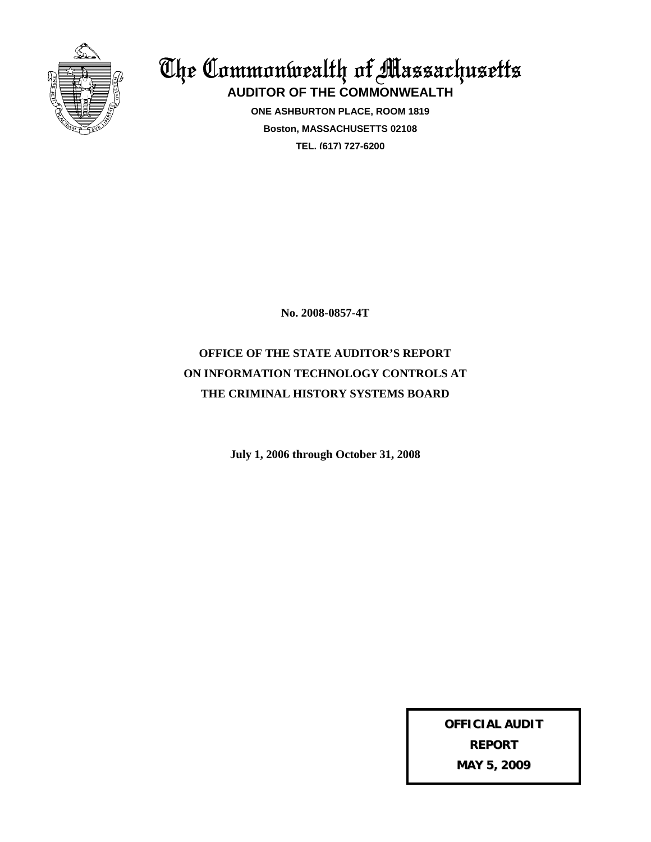

The Commonwealth of Massachusetts **AUDITOR OF THE COMMONWEALTH**

> **ONE ASHBURTON PLACE, ROOM 1819 Boston, MASSACHUSETTS 02108 TEL. (617) 727-6200**

> > **No. 2008-0857-4T**

# **OFFICE OF THE STATE AUDITOR'S REPORT ON INFORMATION TECHNOLOGY CONTROLS AT THE CRIMINAL HISTORY SYSTEMS BOARD**

**July 1, 2006 through October 31, 2008**

**OFFICIAL AUDIT REPORT MAY 5, 2009**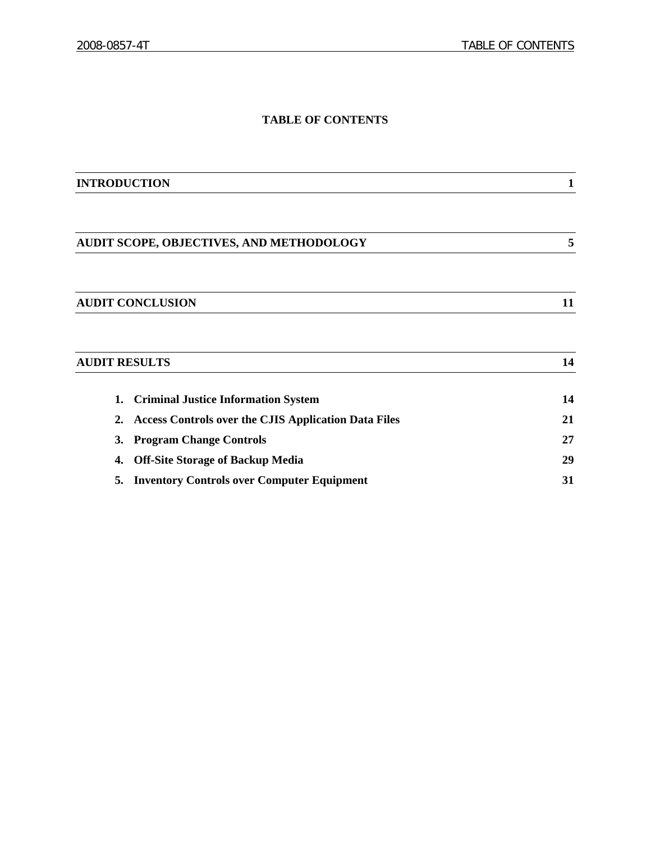# **TABLE OF CONTENTS**

| <b>INTRODUCTION</b>                                               |    |
|-------------------------------------------------------------------|----|
|                                                                   |    |
| AUDIT SCOPE, OBJECTIVES, AND METHODOLOGY                          | 5  |
|                                                                   |    |
| <b>AUDIT CONCLUSION</b>                                           | 11 |
|                                                                   |    |
|                                                                   |    |
| <b>AUDIT RESULTS</b>                                              | 14 |
| <b>Criminal Justice Information System</b><br>1.                  | 14 |
| <b>Access Controls over the CJIS Application Data Files</b><br>2. | 21 |
| <b>Program Change Controls</b><br>3.                              | 27 |
| <b>Off-Site Storage of Backup Media</b><br>4.                     | 29 |
| <b>Inventory Controls over Computer Equipment</b><br>5.           | 31 |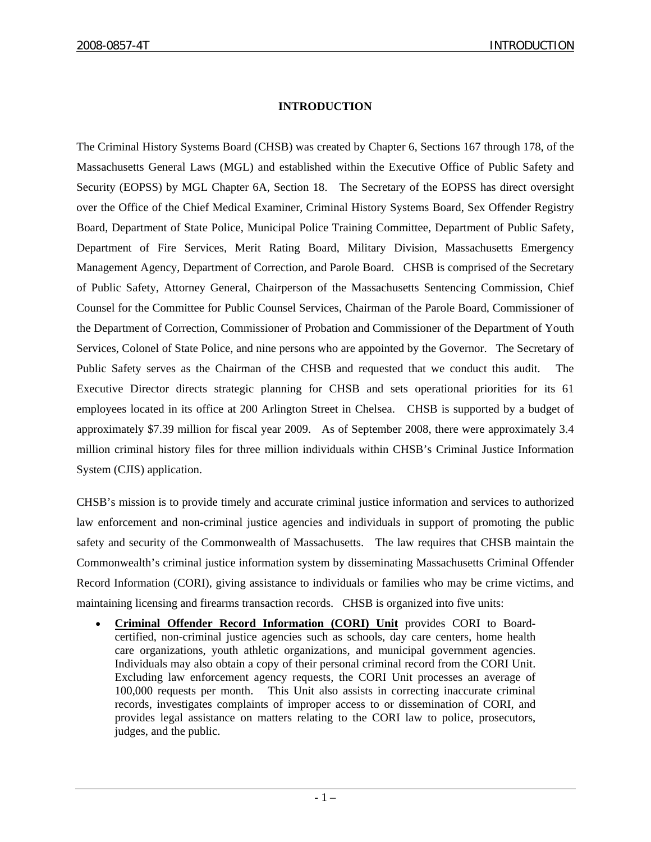# **INTRODUCTION**

The Criminal History Systems Board (CHSB) was created by Chapter 6, Sections 167 through 178, of the Massachusetts General Laws (MGL) and established within the Executive Office of Public Safety and Security (EOPSS) by MGL Chapter 6A, Section 18. The Secretary of the EOPSS has direct oversight over the Office of the Chief Medical Examiner, Criminal History Systems Board, Sex Offender Registry Board, Department of State Police, Municipal Police Training Committee, Department of Public Safety, Department of Fire Services, Merit Rating Board, Military Division, Massachusetts Emergency Management Agency, Department of Correction, and Parole Board. CHSB is comprised of the Secretary of Public Safety, Attorney General, Chairperson of the Massachusetts Sentencing Commission, Chief Counsel for the Committee for Public Counsel Services, Chairman of the Parole Board, Commissioner of the Department of Correction, Commissioner of Probation and Commissioner of the Department of Youth Services, Colonel of State Police, and nine persons who are appointed by the Governor. The Secretary of Public Safety serves as the Chairman of the CHSB and requested that we conduct this audit. The Executive Director directs strategic planning for CHSB and sets operational priorities for its 61 employees located in its office at 200 Arlington Street in Chelsea. CHSB is supported by a budget of approximately \$7.39 million for fiscal year 2009. As of September 2008, there were approximately 3.4 million criminal history files for three million individuals within CHSB's Criminal Justice Information System (CJIS) application.

CHSB's mission is to provide timely and accurate criminal justice information and services to authorized law enforcement and non-criminal justice agencies and individuals in support of promoting the public safety and security of the Commonwealth of Massachusetts. The law requires that CHSB maintain the Commonwealth's criminal justice information system by disseminating Massachusetts Criminal Offender Record Information (CORI), giving assistance to individuals or families who may be crime victims, and maintaining licensing and firearms transaction records. CHSB is organized into five units:

• **Criminal Offender Record Information (CORI) Unit** provides CORI to Boardcertified, non-criminal justice agencies such as schools, day care centers, home health care organizations, youth athletic organizations, and municipal government agencies. Individuals may also obtain a copy of their personal criminal record from the CORI Unit. Excluding law enforcement agency requests, the CORI Unit processes an average of 100,000 requests per month. This Unit also assists in correcting inaccurate criminal records, investigates complaints of improper access to or dissemination of CORI, and provides legal assistance on matters relating to the CORI law to police, prosecutors, judges, and the public.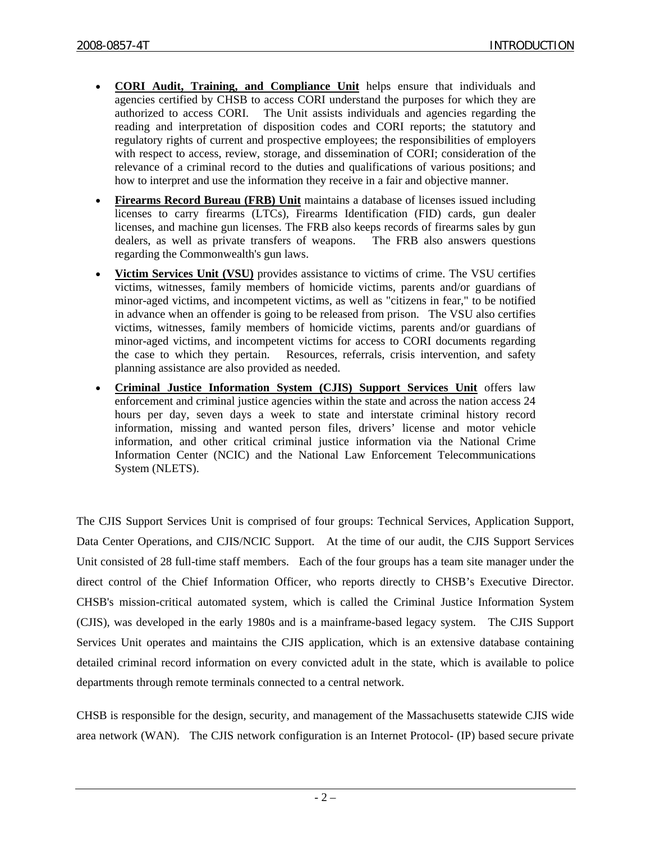- **CORI Audit, Training, and Compliance Unit** helps ensure that individuals and agencies certified by CHSB to access CORI understand the purposes for which they are authorized to access CORI. The Unit assists individuals and agencies regarding the reading and interpretation of disposition codes and CORI reports; the statutory and regulatory rights of current and prospective employees; the responsibilities of employers with respect to access, review, storage, and dissemination of CORI; consideration of the relevance of a criminal record to the duties and qualifications of various positions; and how to interpret and use the information they receive in a fair and objective manner.
- **Firearms Record Bureau (FRB) Unit** maintains a database of licenses issued including licenses to carry firearms (LTCs), Firearms Identification (FID) cards, gun dealer licenses, and machine gun licenses. The FRB also keeps records of firearms sales by gun dealers, as well as private transfers of weapons. The FRB also answers questions regarding the Commonwealth's gun laws.
- **Victim Services Unit (VSU)** provides assistance to victims of crime. The VSU certifies victims, witnesses, family members of homicide victims, parents and/or guardians of minor-aged victims, and incompetent victims, as well as "citizens in fear," to be notified in advance when an offender is going to be released from prison. The VSU also certifies victims, witnesses, family members of homicide victims, parents and/or guardians of minor-aged victims, and incompetent victims for access to CORI documents regarding the case to which they pertain. Resources, referrals, crisis intervention, and safety planning assistance are also provided as needed.
- **Criminal Justice Information System (CJIS) Support Services Unit** offers law enforcement and criminal justice agencies within the state and across the nation access 24 hours per day, seven days a week to state and interstate criminal history record information, missing and wanted person files, drivers' license and motor vehicle information, and other critical criminal justice information via the National Crime Information Center (NCIC) and the National Law Enforcement Telecommunications System (NLETS).

The CJIS Support Services Unit is comprised of four groups: Technical Services, Application Support, Data Center Operations, and CJIS/NCIC Support. At the time of our audit, the CJIS Support Services Unit consisted of 28 full-time staff members. Each of the four groups has a team site manager under the direct control of the Chief Information Officer, who reports directly to CHSB's Executive Director. CHSB's mission-critical automated system, which is called the Criminal Justice Information System (CJIS), was developed in the early 1980s and is a mainframe-based legacy system. The CJIS Support Services Unit operates and maintains the CJIS application, which is an extensive database containing detailed criminal record information on every convicted adult in the state, which is available to police departments through remote terminals connected to a central network.

CHSB is responsible for the design, security, and management of the Massachusetts statewide CJIS wide area network (WAN). The CJIS network configuration is an Internet Protocol- (IP) based secure private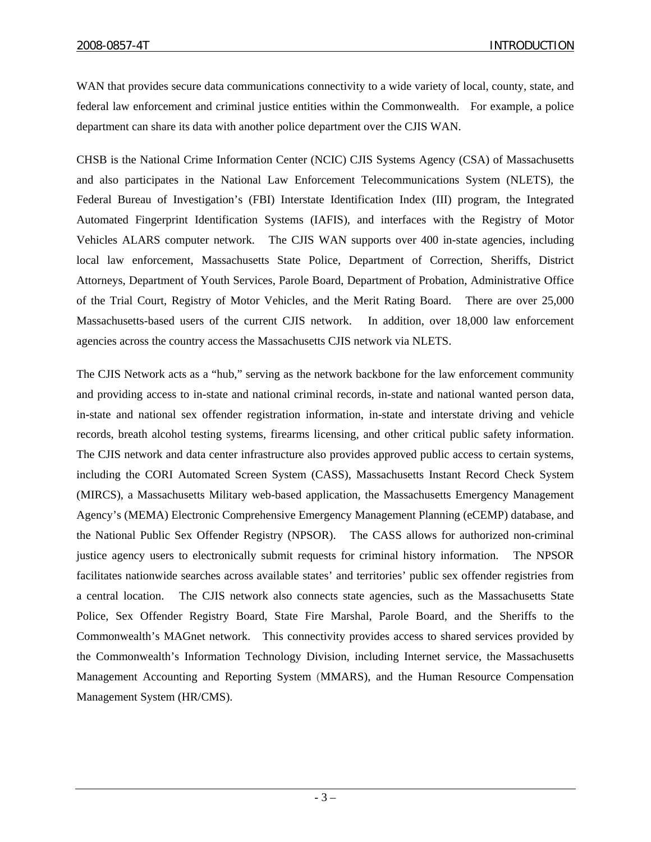WAN that provides secure data communications connectivity to a wide variety of local, county, state, and federal law enforcement and criminal justice entities within the Commonwealth. For example, a police department can share its data with another police department over the CJIS WAN.

CHSB is the National Crime Information Center (NCIC) CJIS Systems Agency (CSA) of Massachusetts and also participates in the National Law Enforcement Telecommunications System (NLETS), the Federal Bureau of Investigation's (FBI) Interstate Identification Index (III) program, the Integrated Automated Fingerprint Identification Systems (IAFIS), and interfaces with the Registry of Motor Vehicles ALARS computer network. The CJIS WAN supports over 400 in-state agencies, including local law enforcement, Massachusetts State Police, Department of Correction, Sheriffs, District Attorneys, Department of Youth Services, Parole Board, Department of Probation, Administrative Office of the Trial Court, Registry of Motor Vehicles, and the Merit Rating Board. There are over 25,000 Massachusetts-based users of the current CJIS network. In addition, over 18,000 law enforcement agencies across the country access the Massachusetts CJIS network via NLETS.

The CJIS Network acts as a "hub," serving as the network backbone for the law enforcement community and providing access to in-state and national criminal records, in-state and national wanted person data, in-state and national sex offender registration information, in-state and interstate driving and vehicle records, breath alcohol testing systems, firearms licensing, and other critical public safety information. The CJIS network and data center infrastructure also provides approved public access to certain systems, including the CORI Automated Screen System (CASS), Massachusetts Instant Record Check System (MIRCS), a Massachusetts Military web-based application, the Massachusetts Emergency Management Agency's (MEMA) Electronic Comprehensive Emergency Management Planning (eCEMP) database, and the National Public Sex Offender Registry (NPSOR). The CASS allows for authorized non-criminal justice agency users to electronically submit requests for criminal history information. The NPSOR facilitates nationwide searches across available states' and territories' public sex offender registries from a central location. The CJIS network also connects state agencies, such as the Massachusetts State Police, Sex Offender Registry Board, State Fire Marshal, Parole Board, and the Sheriffs to the Commonwealth's MAGnet network. This connectivity provides access to shared services provided by the Commonwealth's Information Technology Division, including Internet service, the Massachusetts Management Accounting and Reporting System (MMARS), and the Human Resource Compensation Management System (HR/CMS).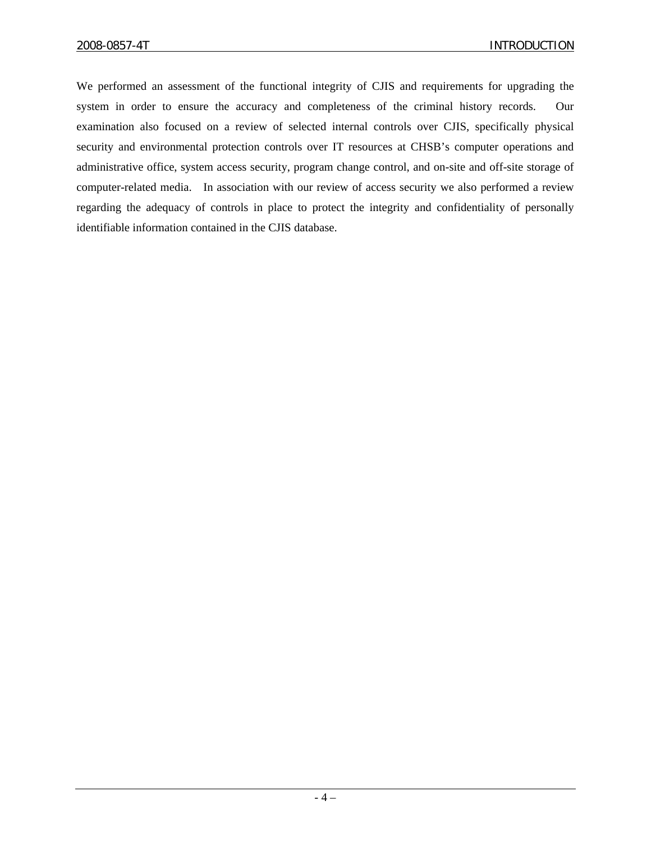We performed an assessment of the functional integrity of CJIS and requirements for upgrading the system in order to ensure the accuracy and completeness of the criminal history records. Our examination also focused on a review of selected internal controls over CJIS, specifically physical security and environmental protection controls over IT resources at CHSB's computer operations and administrative office, system access security, program change control, and on-site and off-site storage of computer-related media. In association with our review of access security we also performed a review regarding the adequacy of controls in place to protect the integrity and confidentiality of personally identifiable information contained in the CJIS database.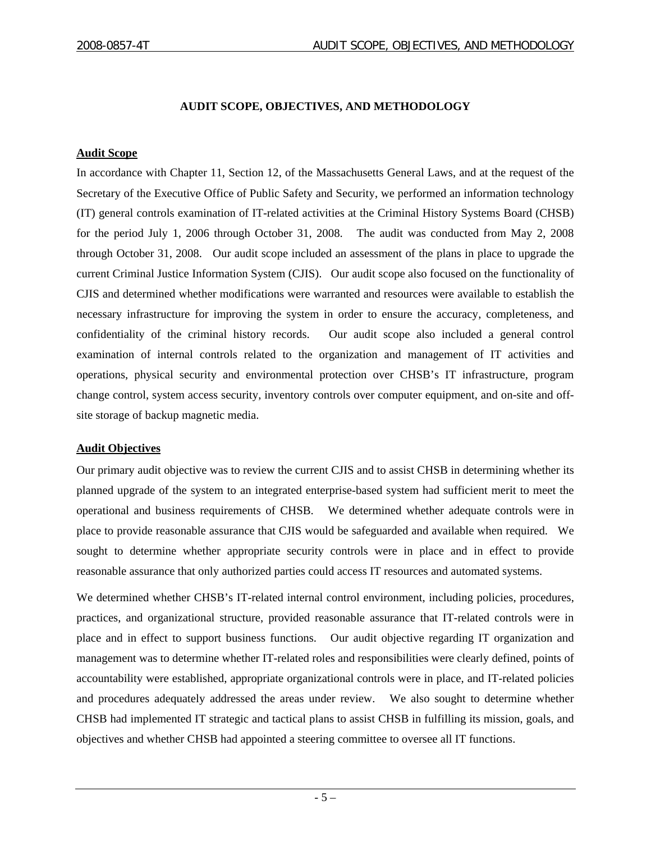## **AUDIT SCOPE, OBJECTIVES, AND METHODOLOGY**

#### **Audit Scope**

In accordance with Chapter 11, Section 12, of the Massachusetts General Laws, and at the request of the Secretary of the Executive Office of Public Safety and Security, we performed an information technology (IT) general controls examination of IT-related activities at the Criminal History Systems Board (CHSB) for the period July 1, 2006 through October 31, 2008. The audit was conducted from May 2, 2008 through October 31, 2008. Our audit scope included an assessment of the plans in place to upgrade the current Criminal Justice Information System (CJIS). Our audit scope also focused on the functionality of CJIS and determined whether modifications were warranted and resources were available to establish the necessary infrastructure for improving the system in order to ensure the accuracy, completeness, and confidentiality of the criminal history records. Our audit scope also included a general control examination of internal controls related to the organization and management of IT activities and operations, physical security and environmental protection over CHSB's IT infrastructure, program change control, system access security, inventory controls over computer equipment, and on-site and offsite storage of backup magnetic media.

#### **Audit Objectives**

Our primary audit objective was to review the current CJIS and to assist CHSB in determining whether its planned upgrade of the system to an integrated enterprise-based system had sufficient merit to meet the operational and business requirements of CHSB. We determined whether adequate controls were in place to provide reasonable assurance that CJIS would be safeguarded and available when required. We sought to determine whether appropriate security controls were in place and in effect to provide reasonable assurance that only authorized parties could access IT resources and automated systems.

We determined whether CHSB's IT-related internal control environment, including policies, procedures, practices, and organizational structure, provided reasonable assurance that IT-related controls were in place and in effect to support business functions. Our audit objective regarding IT organization and management was to determine whether IT-related roles and responsibilities were clearly defined, points of accountability were established, appropriate organizational controls were in place, and IT-related policies and procedures adequately addressed the areas under review. We also sought to determine whether CHSB had implemented IT strategic and tactical plans to assist CHSB in fulfilling its mission, goals, and objectives and whether CHSB had appointed a steering committee to oversee all IT functions.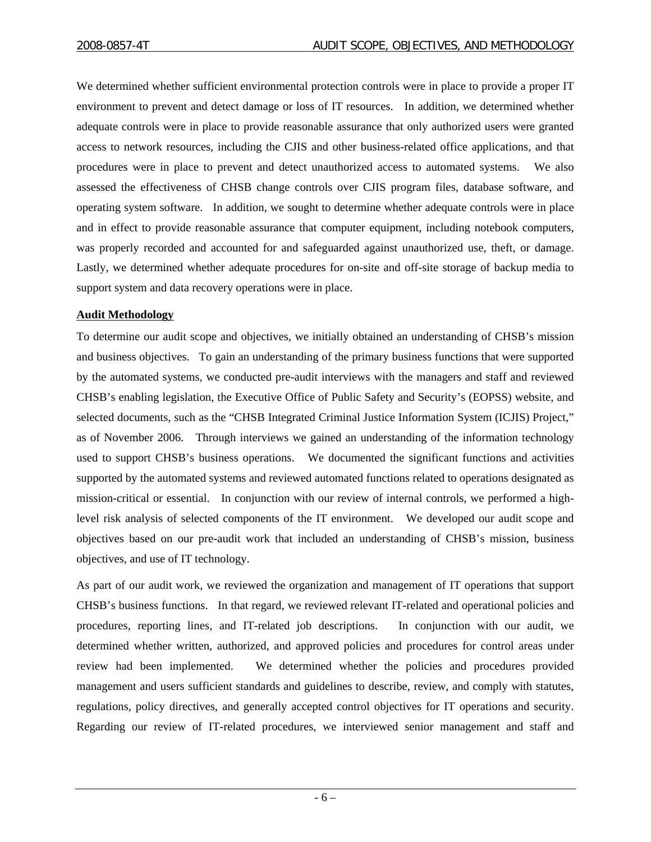We determined whether sufficient environmental protection controls were in place to provide a proper IT environment to prevent and detect damage or loss of IT resources. In addition, we determined whether adequate controls were in place to provide reasonable assurance that only authorized users were granted access to network resources, including the CJIS and other business-related office applications, and that procedures were in place to prevent and detect unauthorized access to automated systems. We also assessed the effectiveness of CHSB change controls over CJIS program files, database software, and operating system software. In addition, we sought to determine whether adequate controls were in place and in effect to provide reasonable assurance that computer equipment, including notebook computers, was properly recorded and accounted for and safeguarded against unauthorized use, theft, or damage. Lastly, we determined whether adequate procedures for on-site and off-site storage of backup media to support system and data recovery operations were in place.

#### **Audit Methodology**

To determine our audit scope and objectives, we initially obtained an understanding of CHSB's mission and business objectives. To gain an understanding of the primary business functions that were supported by the automated systems, we conducted pre-audit interviews with the managers and staff and reviewed CHSB's enabling legislation, the Executive Office of Public Safety and Security's (EOPSS) website, and selected documents, such as the "CHSB Integrated Criminal Justice Information System (ICJIS) Project," as of November 2006. Through interviews we gained an understanding of the information technology used to support CHSB's business operations. We documented the significant functions and activities supported by the automated systems and reviewed automated functions related to operations designated as mission-critical or essential. In conjunction with our review of internal controls, we performed a highlevel risk analysis of selected components of the IT environment. We developed our audit scope and objectives based on our pre-audit work that included an understanding of CHSB's mission, business objectives, and use of IT technology.

As part of our audit work, we reviewed the organization and management of IT operations that support CHSB's business functions. In that regard, we reviewed relevant IT-related and operational policies and procedures, reporting lines, and IT-related job descriptions. In conjunction with our audit, we determined whether written, authorized, and approved policies and procedures for control areas under review had been implemented. We determined whether the policies and procedures provided management and users sufficient standards and guidelines to describe, review, and comply with statutes, regulations, policy directives, and generally accepted control objectives for IT operations and security. Regarding our review of IT-related procedures, we interviewed senior management and staff and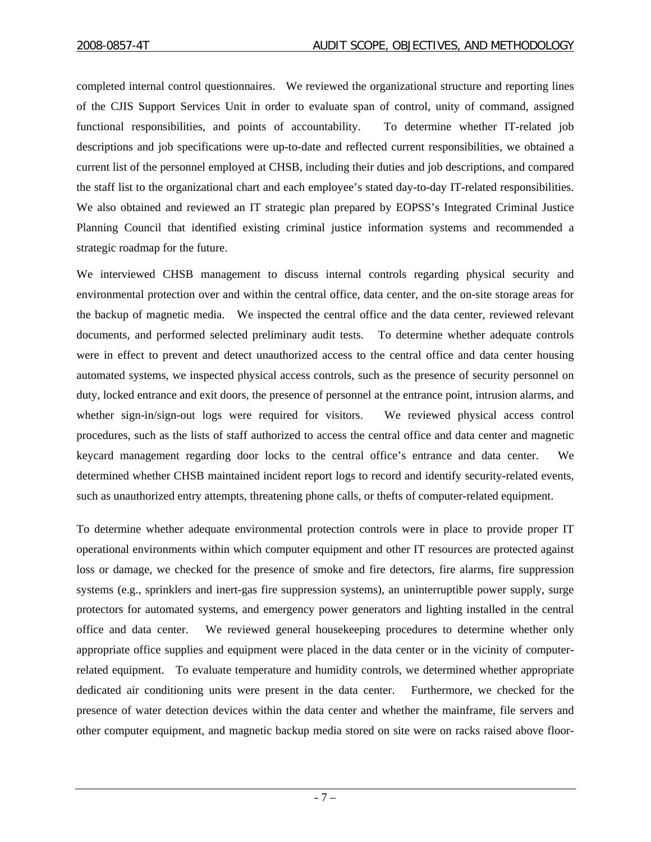completed internal control questionnaires. We reviewed the organizational structure and reporting lines of the CJIS Support Services Unit in order to evaluate span of control, unity of command, assigned functional responsibilities, and points of accountability. To determine whether IT-related job descriptions and job specifications were up-to-date and reflected current responsibilities, we obtained a current list of the personnel employed at CHSB, including their duties and job descriptions, and compared the staff list to the organizational chart and each employee's stated day-to-day IT-related responsibilities. We also obtained and reviewed an IT strategic plan prepared by EOPSS's Integrated Criminal Justice Planning Council that identified existing criminal justice information systems and recommended a strategic roadmap for the future.

We interviewed CHSB management to discuss internal controls regarding physical security and environmental protection over and within the central office, data center, and the on-site storage areas for the backup of magnetic media. We inspected the central office and the data center, reviewed relevant documents, and performed selected preliminary audit tests. To determine whether adequate controls were in effect to prevent and detect unauthorized access to the central office and data center housing automated systems, we inspected physical access controls, such as the presence of security personnel on duty, locked entrance and exit doors, the presence of personnel at the entrance point, intrusion alarms, and whether sign-in/sign-out logs were required for visitors. We reviewed physical access control procedures, such as the lists of staff authorized to access the central office and data center and magnetic keycard management regarding door locks to the central office's entrance and data center. We determined whether CHSB maintained incident report logs to record and identify security-related events, such as unauthorized entry attempts, threatening phone calls, or thefts of computer-related equipment.

To determine whether adequate environmental protection controls were in place to provide proper IT operational environments within which computer equipment and other IT resources are protected against loss or damage, we checked for the presence of smoke and fire detectors, fire alarms, fire suppression systems (e.g., sprinklers and inert-gas fire suppression systems), an uninterruptible power supply, surge protectors for automated systems, and emergency power generators and lighting installed in the central office and data center. We reviewed general housekeeping procedures to determine whether only appropriate office supplies and equipment were placed in the data center or in the vicinity of computerrelated equipment. To evaluate temperature and humidity controls, we determined whether appropriate dedicated air conditioning units were present in the data center. Furthermore, we checked for the presence of water detection devices within the data center and whether the mainframe, file servers and other computer equipment, and magnetic backup media stored on site were on racks raised above floor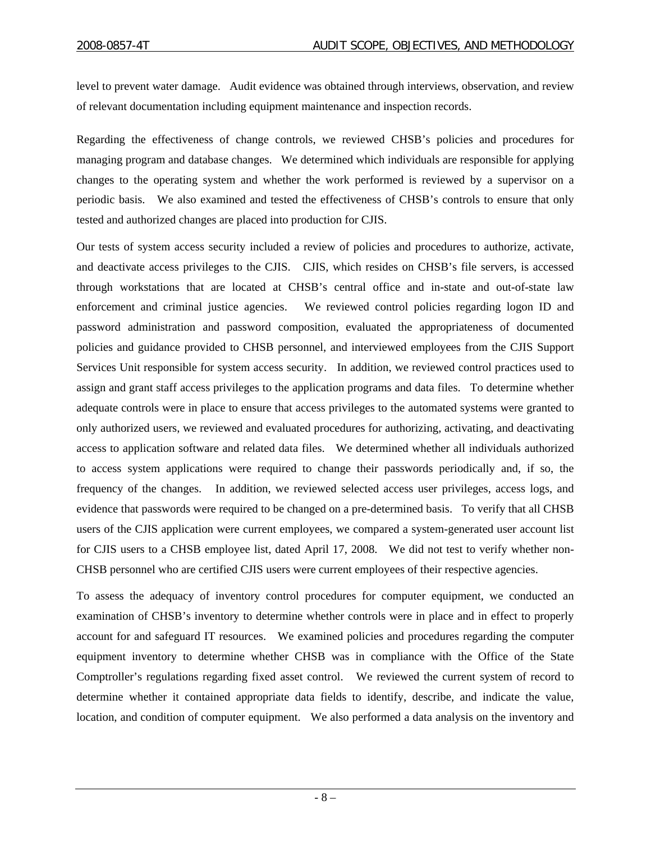level to prevent water damage. Audit evidence was obtained through interviews, observation, and review of relevant documentation including equipment maintenance and inspection records.

Regarding the effectiveness of change controls, we reviewed CHSB's policies and procedures for managing program and database changes. We determined which individuals are responsible for applying changes to the operating system and whether the work performed is reviewed by a supervisor on a periodic basis. We also examined and tested the effectiveness of CHSB's controls to ensure that only tested and authorized changes are placed into production for CJIS.

Our tests of system access security included a review of policies and procedures to authorize, activate, and deactivate access privileges to the CJIS. CJIS, which resides on CHSB's file servers, is accessed through workstations that are located at CHSB's central office and in-state and out-of-state law enforcement and criminal justice agencies. We reviewed control policies regarding logon ID and password administration and password composition, evaluated the appropriateness of documented policies and guidance provided to CHSB personnel, and interviewed employees from the CJIS Support Services Unit responsible for system access security. In addition, we reviewed control practices used to assign and grant staff access privileges to the application programs and data files. To determine whether adequate controls were in place to ensure that access privileges to the automated systems were granted to only authorized users, we reviewed and evaluated procedures for authorizing, activating, and deactivating access to application software and related data files. We determined whether all individuals authorized to access system applications were required to change their passwords periodically and, if so, the frequency of the changes. In addition, we reviewed selected access user privileges, access logs, and evidence that passwords were required to be changed on a pre-determined basis. To verify that all CHSB users of the CJIS application were current employees, we compared a system-generated user account list for CJIS users to a CHSB employee list, dated April 17, 2008. We did not test to verify whether non-CHSB personnel who are certified CJIS users were current employees of their respective agencies.

To assess the adequacy of inventory control procedures for computer equipment, we conducted an examination of CHSB's inventory to determine whether controls were in place and in effect to properly account for and safeguard IT resources. We examined policies and procedures regarding the computer equipment inventory to determine whether CHSB was in compliance with the Office of the State Comptroller's regulations regarding fixed asset control. We reviewed the current system of record to determine whether it contained appropriate data fields to identify, describe, and indicate the value, location, and condition of computer equipment. We also performed a data analysis on the inventory and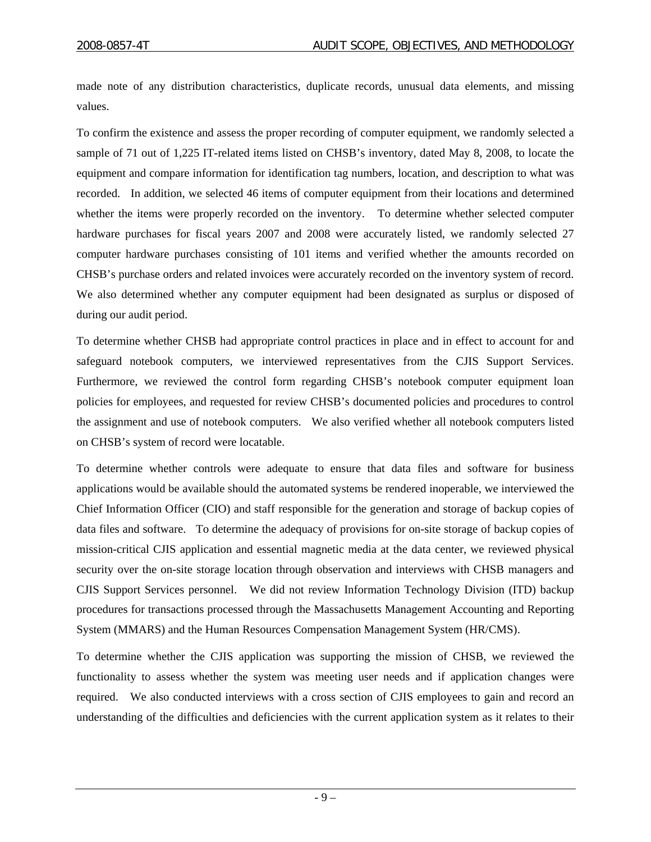made note of any distribution characteristics, duplicate records, unusual data elements, and missing values.

To confirm the existence and assess the proper recording of computer equipment, we randomly selected a sample of 71 out of 1,225 IT-related items listed on CHSB's inventory, dated May 8, 2008, to locate the equipment and compare information for identification tag numbers, location, and description to what was recorded. In addition, we selected 46 items of computer equipment from their locations and determined whether the items were properly recorded on the inventory. To determine whether selected computer hardware purchases for fiscal years 2007 and 2008 were accurately listed, we randomly selected 27 computer hardware purchases consisting of 101 items and verified whether the amounts recorded on CHSB's purchase orders and related invoices were accurately recorded on the inventory system of record. We also determined whether any computer equipment had been designated as surplus or disposed of during our audit period.

To determine whether CHSB had appropriate control practices in place and in effect to account for and safeguard notebook computers, we interviewed representatives from the CJIS Support Services. Furthermore, we reviewed the control form regarding CHSB's notebook computer equipment loan policies for employees, and requested for review CHSB's documented policies and procedures to control the assignment and use of notebook computers. We also verified whether all notebook computers listed on CHSB's system of record were locatable.

To determine whether controls were adequate to ensure that data files and software for business applications would be available should the automated systems be rendered inoperable, we interviewed the Chief Information Officer (CIO) and staff responsible for the generation and storage of backup copies of data files and software. To determine the adequacy of provisions for on-site storage of backup copies of mission-critical CJIS application and essential magnetic media at the data center, we reviewed physical security over the on-site storage location through observation and interviews with CHSB managers and CJIS Support Services personnel. We did not review Information Technology Division (ITD) backup procedures for transactions processed through the Massachusetts Management Accounting and Reporting System (MMARS) and the Human Resources Compensation Management System (HR/CMS).

To determine whether the CJIS application was supporting the mission of CHSB, we reviewed the functionality to assess whether the system was meeting user needs and if application changes were required. We also conducted interviews with a cross section of CJIS employees to gain and record an understanding of the difficulties and deficiencies with the current application system as it relates to their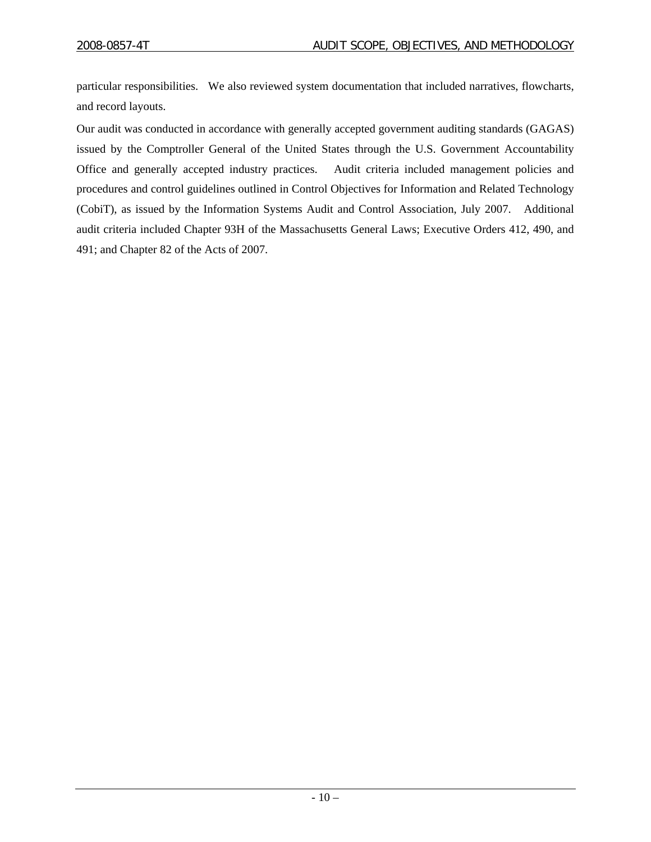particular responsibilities. We also reviewed system documentation that included narratives, flowcharts, and record layouts.

Our audit was conducted in accordance with generally accepted government auditing standards (GAGAS) issued by the Comptroller General of the United States through the U.S. Government Accountability Office and generally accepted industry practices. Audit criteria included management policies and procedures and control guidelines outlined in Control Objectives for Information and Related Technology (CobiT), as issued by the Information Systems Audit and Control Association, July 2007. Additional audit criteria included Chapter 93H of the Massachusetts General Laws; Executive Orders 412, 490, and 491; and Chapter 82 of the Acts of 2007.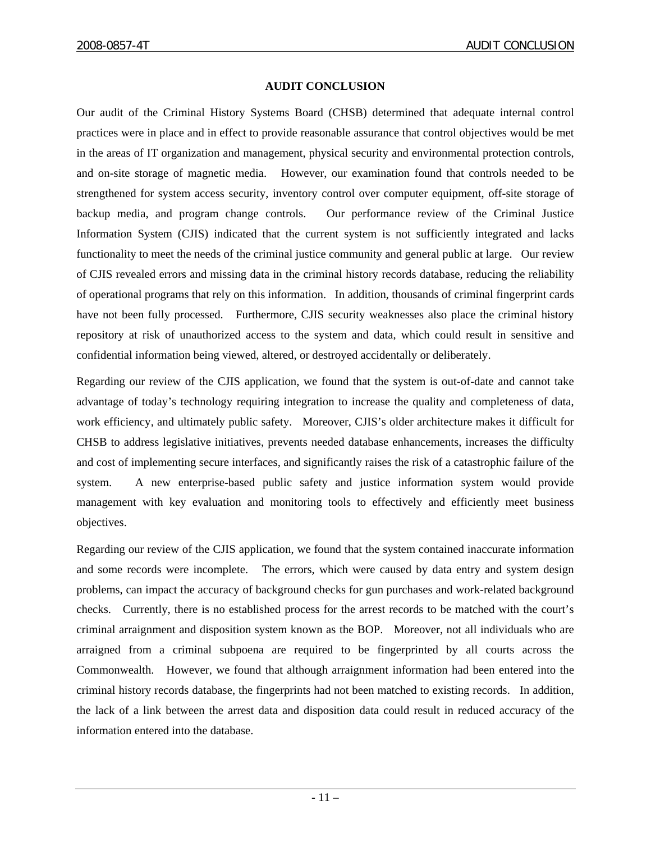#### **AUDIT CONCLUSION**

Our audit of the Criminal History Systems Board (CHSB) determined that adequate internal control practices were in place and in effect to provide reasonable assurance that control objectives would be met in the areas of IT organization and management, physical security and environmental protection controls, and on-site storage of magnetic media. However, our examination found that controls needed to be strengthened for system access security, inventory control over computer equipment, off-site storage of backup media, and program change controls. Our performance review of the Criminal Justice Information System (CJIS) indicated that the current system is not sufficiently integrated and lacks functionality to meet the needs of the criminal justice community and general public at large. Our review of CJIS revealed errors and missing data in the criminal history records database, reducing the reliability of operational programs that rely on this information. In addition, thousands of criminal fingerprint cards have not been fully processed. Furthermore, CJIS security weaknesses also place the criminal history repository at risk of unauthorized access to the system and data, which could result in sensitive and confidential information being viewed, altered, or destroyed accidentally or deliberately.

Regarding our review of the CJIS application, we found that the system is out-of-date and cannot take advantage of today's technology requiring integration to increase the quality and completeness of data, work efficiency, and ultimately public safety. Moreover, CJIS's older architecture makes it difficult for CHSB to address legislative initiatives, prevents needed database enhancements, increases the difficulty and cost of implementing secure interfaces, and significantly raises the risk of a catastrophic failure of the system. A new enterprise-based public safety and justice information system would provide management with key evaluation and monitoring tools to effectively and efficiently meet business objectives.

Regarding our review of the CJIS application, we found that the system contained inaccurate information and some records were incomplete. The errors, which were caused by data entry and system design problems, can impact the accuracy of background checks for gun purchases and work-related background checks. Currently, there is no established process for the arrest records to be matched with the court's criminal arraignment and disposition system known as the BOP. Moreover, not all individuals who are arraigned from a criminal subpoena are required to be fingerprinted by all courts across the Commonwealth. However, we found that although arraignment information had been entered into the criminal history records database, the fingerprints had not been matched to existing records. In addition, the lack of a link between the arrest data and disposition data could result in reduced accuracy of the information entered into the database.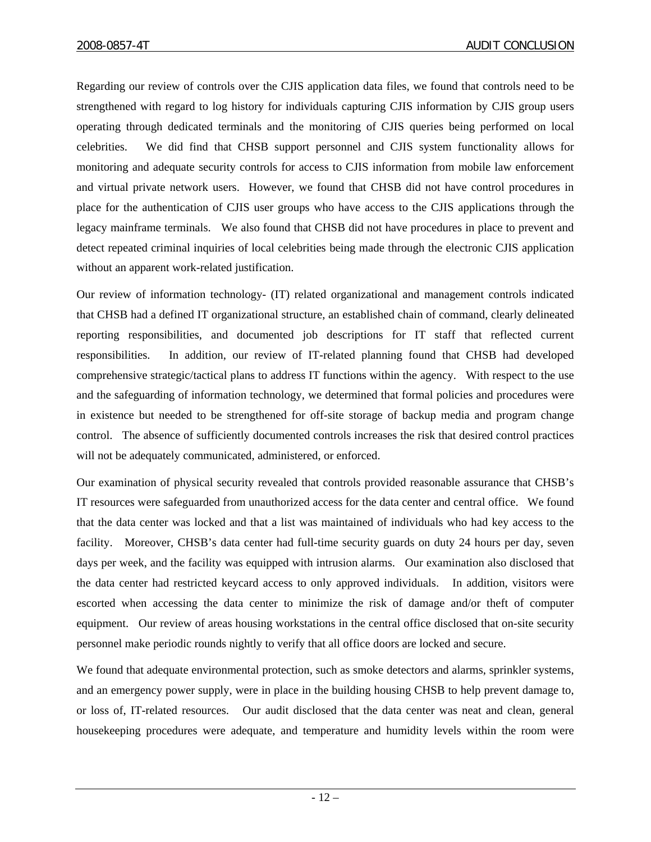Regarding our review of controls over the CJIS application data files, we found that controls need to be strengthened with regard to log history for individuals capturing CJIS information by CJIS group users operating through dedicated terminals and the monitoring of CJIS queries being performed on local celebrities. We did find that CHSB support personnel and CJIS system functionality allows for monitoring and adequate security controls for access to CJIS information from mobile law enforcement and virtual private network users. However, we found that CHSB did not have control procedures in place for the authentication of CJIS user groups who have access to the CJIS applications through the legacy mainframe terminals. We also found that CHSB did not have procedures in place to prevent and detect repeated criminal inquiries of local celebrities being made through the electronic CJIS application without an apparent work-related justification.

Our review of information technology- (IT) related organizational and management controls indicated that CHSB had a defined IT organizational structure, an established chain of command, clearly delineated reporting responsibilities, and documented job descriptions for IT staff that reflected current responsibilities. In addition, our review of IT-related planning found that CHSB had developed comprehensive strategic/tactical plans to address IT functions within the agency. With respect to the use and the safeguarding of information technology, we determined that formal policies and procedures were in existence but needed to be strengthened for off-site storage of backup media and program change control. The absence of sufficiently documented controls increases the risk that desired control practices will not be adequately communicated, administered, or enforced.

Our examination of physical security revealed that controls provided reasonable assurance that CHSB's IT resources were safeguarded from unauthorized access for the data center and central office. We found that the data center was locked and that a list was maintained of individuals who had key access to the facility. Moreover, CHSB's data center had full-time security guards on duty 24 hours per day, seven days per week, and the facility was equipped with intrusion alarms. Our examination also disclosed that the data center had restricted keycard access to only approved individuals. In addition, visitors were escorted when accessing the data center to minimize the risk of damage and/or theft of computer equipment. Our review of areas housing workstations in the central office disclosed that on-site security personnel make periodic rounds nightly to verify that all office doors are locked and secure.

We found that adequate environmental protection, such as smoke detectors and alarms, sprinkler systems, and an emergency power supply, were in place in the building housing CHSB to help prevent damage to, or loss of, IT-related resources. Our audit disclosed that the data center was neat and clean, general housekeeping procedures were adequate, and temperature and humidity levels within the room were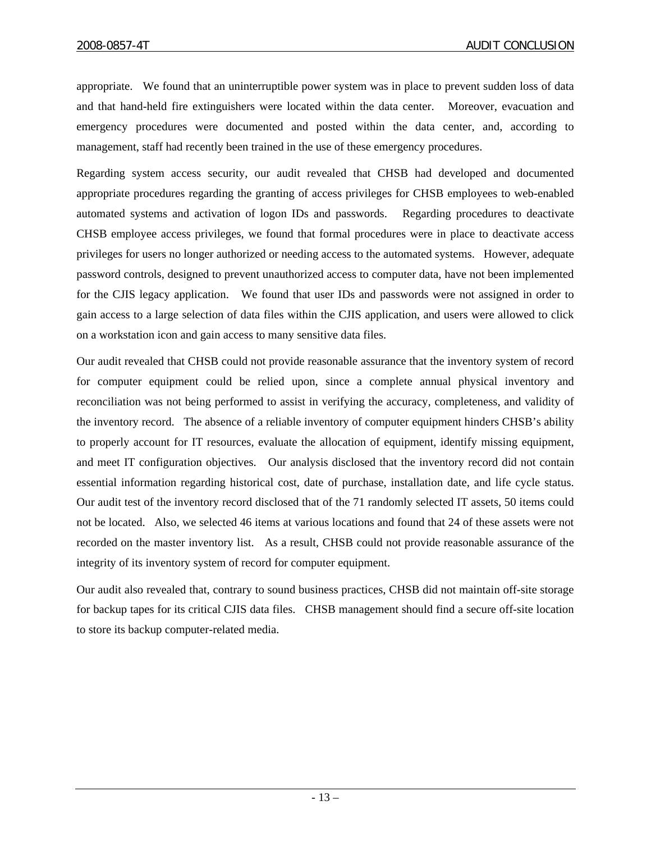appropriate. We found that an uninterruptible power system was in place to prevent sudden loss of data and that hand-held fire extinguishers were located within the data center. Moreover, evacuation and emergency procedures were documented and posted within the data center, and, according to management, staff had recently been trained in the use of these emergency procedures.

Regarding system access security, our audit revealed that CHSB had developed and documented appropriate procedures regarding the granting of access privileges for CHSB employees to web-enabled automated systems and activation of logon IDs and passwords. Regarding procedures to deactivate CHSB employee access privileges, we found that formal procedures were in place to deactivate access privileges for users no longer authorized or needing access to the automated systems. However, adequate password controls, designed to prevent unauthorized access to computer data, have not been implemented for the CJIS legacy application. We found that user IDs and passwords were not assigned in order to gain access to a large selection of data files within the CJIS application, and users were allowed to click on a workstation icon and gain access to many sensitive data files.

Our audit revealed that CHSB could not provide reasonable assurance that the inventory system of record for computer equipment could be relied upon, since a complete annual physical inventory and reconciliation was not being performed to assist in verifying the accuracy, completeness, and validity of the inventory record. The absence of a reliable inventory of computer equipment hinders CHSB's ability to properly account for IT resources, evaluate the allocation of equipment, identify missing equipment, and meet IT configuration objectives. Our analysis disclosed that the inventory record did not contain essential information regarding historical cost, date of purchase, installation date, and life cycle status. Our audit test of the inventory record disclosed that of the 71 randomly selected IT assets, 50 items could not be located. Also, we selected 46 items at various locations and found that 24 of these assets were not recorded on the master inventory list. As a result, CHSB could not provide reasonable assurance of the integrity of its inventory system of record for computer equipment.

Our audit also revealed that, contrary to sound business practices, CHSB did not maintain off-site storage for backup tapes for its critical CJIS data files. CHSB management should find a secure off-site location to store its backup computer-related media.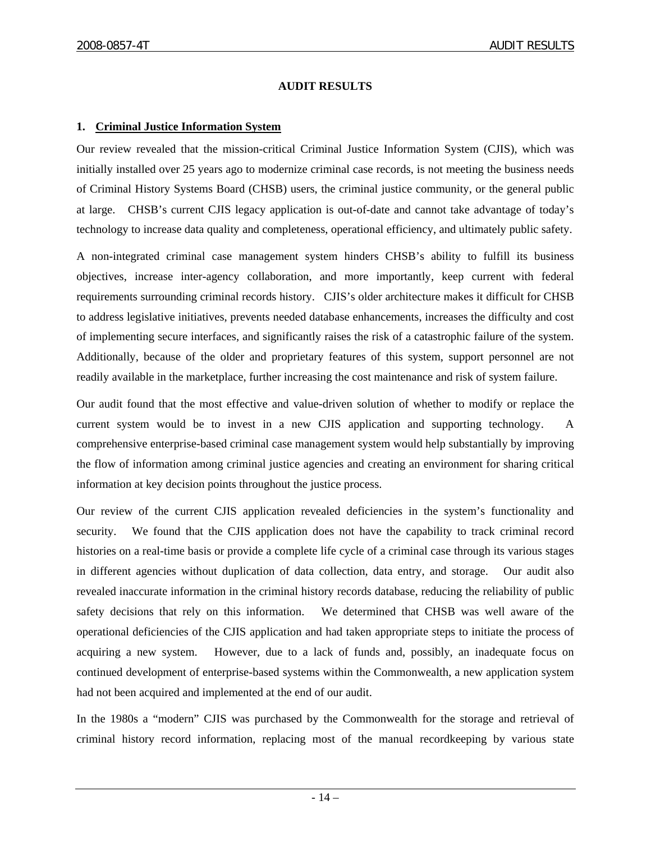## **AUDIT RESULTS**

## **1. Criminal Justice Information System**

Our review revealed that the mission-critical Criminal Justice Information System (CJIS), which was initially installed over 25 years ago to modernize criminal case records, is not meeting the business needs of Criminal History Systems Board (CHSB) users, the criminal justice community, or the general public at large. CHSB's current CJIS legacy application is out-of-date and cannot take advantage of today's technology to increase data quality and completeness, operational efficiency, and ultimately public safety.

A non-integrated criminal case management system hinders CHSB's ability to fulfill its business objectives, increase inter-agency collaboration, and more importantly, keep current with federal requirements surrounding criminal records history. CJIS's older architecture makes it difficult for CHSB to address legislative initiatives, prevents needed database enhancements, increases the difficulty and cost of implementing secure interfaces, and significantly raises the risk of a catastrophic failure of the system. Additionally, because of the older and proprietary features of this system, support personnel are not readily available in the marketplace, further increasing the cost maintenance and risk of system failure.

Our audit found that the most effective and value-driven solution of whether to modify or replace the current system would be to invest in a new CJIS application and supporting technology. A comprehensive enterprise-based criminal case management system would help substantially by improving the flow of information among criminal justice agencies and creating an environment for sharing critical information at key decision points throughout the justice process.

Our review of the current CJIS application revealed deficiencies in the system's functionality and security. We found that the CJIS application does not have the capability to track criminal record histories on a real-time basis or provide a complete life cycle of a criminal case through its various stages in different agencies without duplication of data collection, data entry, and storage. Our audit also revealed inaccurate information in the criminal history records database, reducing the reliability of public safety decisions that rely on this information. We determined that CHSB was well aware of the operational deficiencies of the CJIS application and had taken appropriate steps to initiate the process of acquiring a new system. However, due to a lack of funds and, possibly, an inadequate focus on continued development of enterprise-based systems within the Commonwealth, a new application system had not been acquired and implemented at the end of our audit.

In the 1980s a "modern" CJIS was purchased by the Commonwealth for the storage and retrieval of criminal history record information, replacing most of the manual recordkeeping by various state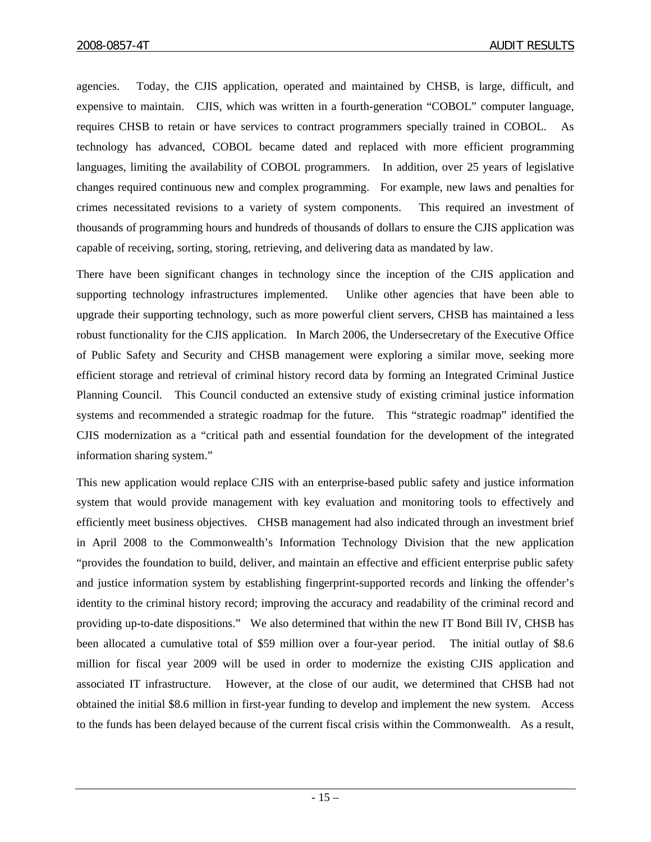agencies. Today, the CJIS application, operated and maintained by CHSB, is large, difficult, and expensive to maintain. CJIS, which was written in a fourth-generation "COBOL" computer language, requires CHSB to retain or have services to contract programmers specially trained in COBOL. As technology has advanced, COBOL became dated and replaced with more efficient programming languages, limiting the availability of COBOL programmers. In addition, over 25 years of legislative changes required continuous new and complex programming. For example, new laws and penalties for crimes necessitated revisions to a variety of system components. This required an investment of thousands of programming hours and hundreds of thousands of dollars to ensure the CJIS application was capable of receiving, sorting, storing, retrieving, and delivering data as mandated by law.

There have been significant changes in technology since the inception of the CJIS application and supporting technology infrastructures implemented. Unlike other agencies that have been able to upgrade their supporting technology, such as more powerful client servers, CHSB has maintained a less robust functionality for the CJIS application. In March 2006, the Undersecretary of the Executive Office of Public Safety and Security and CHSB management were exploring a similar move, seeking more efficient storage and retrieval of criminal history record data by forming an Integrated Criminal Justice Planning Council. This Council conducted an extensive study of existing criminal justice information systems and recommended a strategic roadmap for the future. This "strategic roadmap" identified the CJIS modernization as a "critical path and essential foundation for the development of the integrated information sharing system."

This new application would replace CJIS with an enterprise-based public safety and justice information system that would provide management with key evaluation and monitoring tools to effectively and efficiently meet business objectives. CHSB management had also indicated through an investment brief in April 2008 to the Commonwealth's Information Technology Division that the new application "provides the foundation to build, deliver, and maintain an effective and efficient enterprise public safety and justice information system by establishing fingerprint-supported records and linking the offender's identity to the criminal history record; improving the accuracy and readability of the criminal record and providing up-to-date dispositions." We also determined that within the new IT Bond Bill IV, CHSB has been allocated a cumulative total of \$59 million over a four-year period. The initial outlay of \$8.6 million for fiscal year 2009 will be used in order to modernize the existing CJIS application and associated IT infrastructure. However, at the close of our audit, we determined that CHSB had not obtained the initial \$8.6 million in first-year funding to develop and implement the new system. Access to the funds has been delayed because of the current fiscal crisis within the Commonwealth. As a result,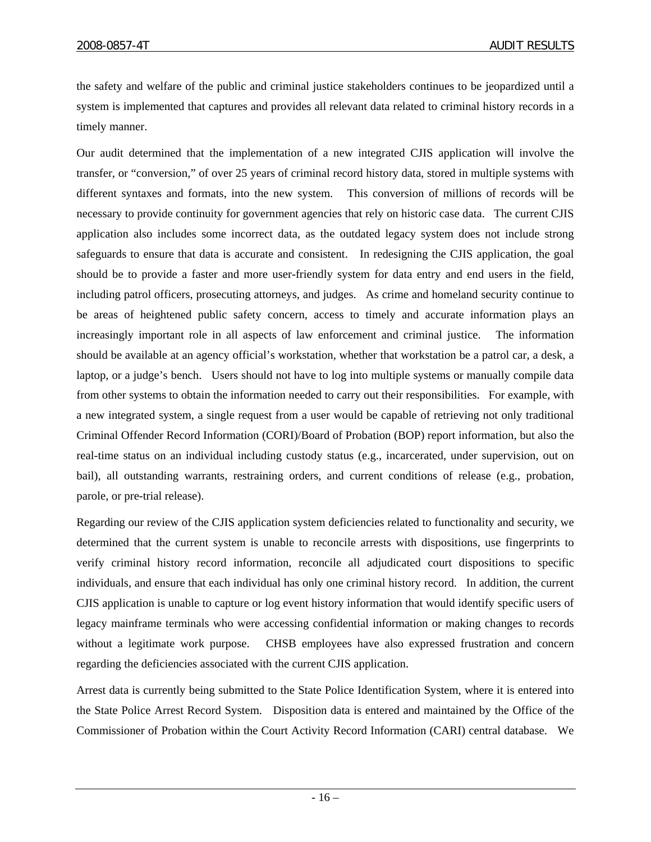the safety and welfare of the public and criminal justice stakeholders continues to be jeopardized until a system is implemented that captures and provides all relevant data related to criminal history records in a timely manner.

Our audit determined that the implementation of a new integrated CJIS application will involve the transfer, or "conversion," of over 25 years of criminal record history data, stored in multiple systems with different syntaxes and formats, into the new system. This conversion of millions of records will be necessary to provide continuity for government agencies that rely on historic case data. The current CJIS application also includes some incorrect data, as the outdated legacy system does not include strong safeguards to ensure that data is accurate and consistent. In redesigning the CJIS application, the goal should be to provide a faster and more user-friendly system for data entry and end users in the field, including patrol officers, prosecuting attorneys, and judges. As crime and homeland security continue to be areas of heightened public safety concern, access to timely and accurate information plays an increasingly important role in all aspects of law enforcement and criminal justice. The information should be available at an agency official's workstation, whether that workstation be a patrol car, a desk, a laptop, or a judge's bench. Users should not have to log into multiple systems or manually compile data from other systems to obtain the information needed to carry out their responsibilities. For example, with a new integrated system, a single request from a user would be capable of retrieving not only traditional Criminal Offender Record Information (CORI)/Board of Probation (BOP) report information, but also the real-time status on an individual including custody status (e.g., incarcerated, under supervision, out on bail), all outstanding warrants, restraining orders, and current conditions of release (e.g., probation, parole, or pre-trial release).

Regarding our review of the CJIS application system deficiencies related to functionality and security, we determined that the current system is unable to reconcile arrests with dispositions, use fingerprints to verify criminal history record information, reconcile all adjudicated court dispositions to specific individuals, and ensure that each individual has only one criminal history record. In addition, the current CJIS application is unable to capture or log event history information that would identify specific users of legacy mainframe terminals who were accessing confidential information or making changes to records without a legitimate work purpose. CHSB employees have also expressed frustration and concern regarding the deficiencies associated with the current CJIS application.

Arrest data is currently being submitted to the State Police Identification System, where it is entered into the State Police Arrest Record System. Disposition data is entered and maintained by the Office of the Commissioner of Probation within the Court Activity Record Information (CARI) central database. We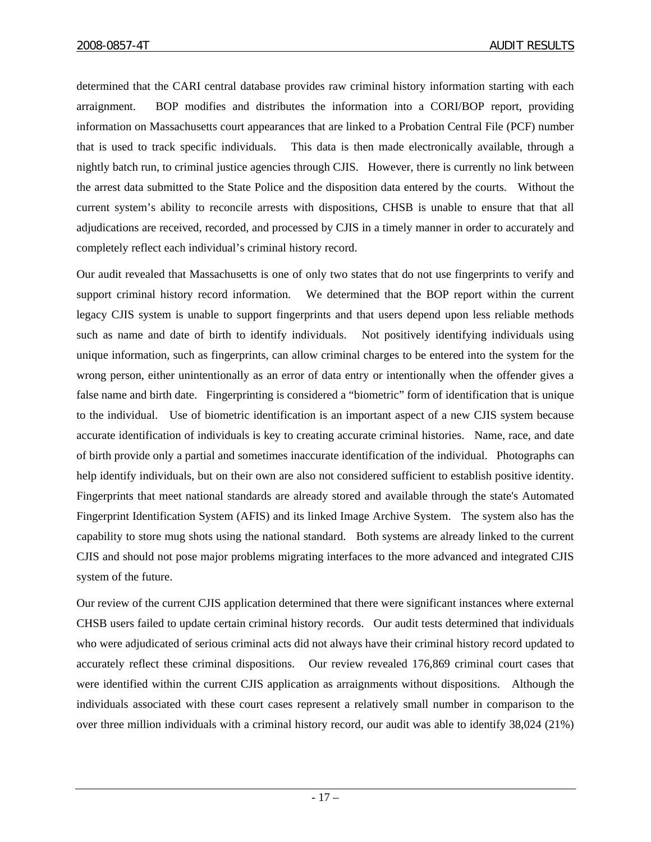determined that the CARI central database provides raw criminal history information starting with each arraignment. BOP modifies and distributes the information into a CORI/BOP report, providing information on Massachusetts court appearances that are linked to a Probation Central File (PCF) number that is used to track specific individuals. This data is then made electronically available, through a nightly batch run, to criminal justice agencies through CJIS. However, there is currently no link between the arrest data submitted to the State Police and the disposition data entered by the courts. Without the current system's ability to reconcile arrests with dispositions, CHSB is unable to ensure that that all adjudications are received, recorded, and processed by CJIS in a timely manner in order to accurately and completely reflect each individual's criminal history record.

Our audit revealed that Massachusetts is one of only two states that do not use fingerprints to verify and support criminal history record information. We determined that the BOP report within the current legacy CJIS system is unable to support fingerprints and that users depend upon less reliable methods such as name and date of birth to identify individuals. Not positively identifying individuals using unique information, such as fingerprints, can allow criminal charges to be entered into the system for the wrong person, either unintentionally as an error of data entry or intentionally when the offender gives a false name and birth date. Fingerprinting is considered a "biometric" form of identification that is unique to the individual. Use of biometric identification is an important aspect of a new CJIS system because accurate identification of individuals is key to creating accurate criminal histories. Name, race, and date of birth provide only a partial and sometimes inaccurate identification of the individual. Photographs can help identify individuals, but on their own are also not considered sufficient to establish positive identity. Fingerprints that meet national standards are already stored and available through the state's Automated Fingerprint Identification System (AFIS) and its linked Image Archive System. The system also has the capability to store mug shots using the national standard. Both systems are already linked to the current CJIS and should not pose major problems migrating interfaces to the more advanced and integrated CJIS system of the future.

Our review of the current CJIS application determined that there were significant instances where external CHSB users failed to update certain criminal history records. Our audit tests determined that individuals who were adjudicated of serious criminal acts did not always have their criminal history record updated to accurately reflect these criminal dispositions. Our review revealed 176,869 criminal court cases that were identified within the current CJIS application as arraignments without dispositions. Although the individuals associated with these court cases represent a relatively small number in comparison to the over three million individuals with a criminal history record, our audit was able to identify 38,024 (21%)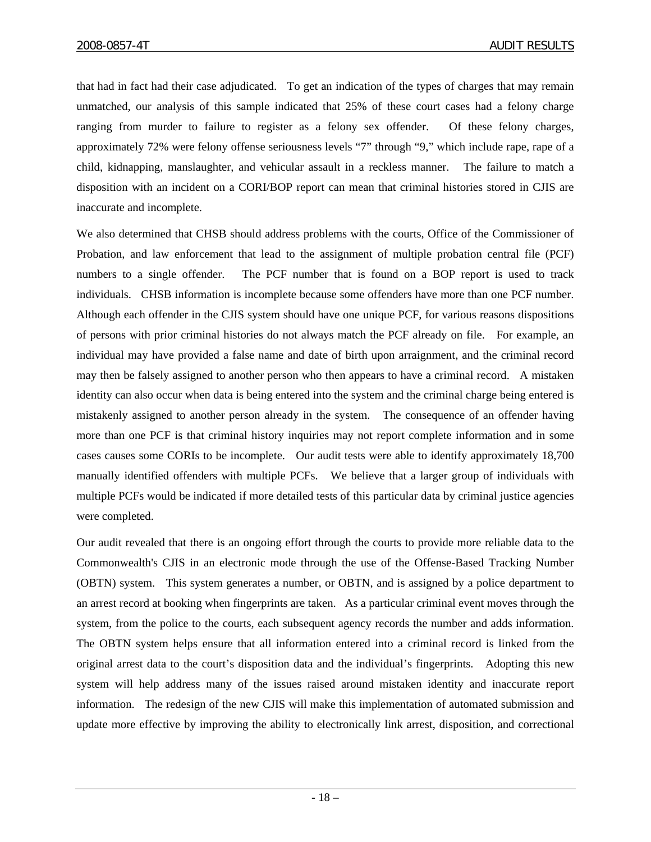that had in fact had their case adjudicated. To get an indication of the types of charges that may remain unmatched, our analysis of this sample indicated that 25% of these court cases had a felony charge ranging from murder to failure to register as a felony sex offender. Of these felony charges, approximately 72% were felony offense seriousness levels "7" through "9," which include rape, rape of a child, kidnapping, manslaughter, and vehicular assault in a reckless manner. The failure to match a disposition with an incident on a CORI/BOP report can mean that criminal histories stored in CJIS are inaccurate and incomplete.

We also determined that CHSB should address problems with the courts, Office of the Commissioner of Probation, and law enforcement that lead to the assignment of multiple probation central file (PCF) numbers to a single offender. The PCF number that is found on a BOP report is used to track individuals. CHSB information is incomplete because some offenders have more than one PCF number. Although each offender in the CJIS system should have one unique PCF, for various reasons dispositions of persons with prior criminal histories do not always match the PCF already on file. For example, an individual may have provided a false name and date of birth upon arraignment, and the criminal record may then be falsely assigned to another person who then appears to have a criminal record. A mistaken identity can also occur when data is being entered into the system and the criminal charge being entered is mistakenly assigned to another person already in the system. The consequence of an offender having more than one PCF is that criminal history inquiries may not report complete information and in some cases causes some CORIs to be incomplete. Our audit tests were able to identify approximately 18,700 manually identified offenders with multiple PCFs. We believe that a larger group of individuals with multiple PCFs would be indicated if more detailed tests of this particular data by criminal justice agencies were completed.

Our audit revealed that there is an ongoing effort through the courts to provide more reliable data to the Commonwealth's CJIS in an electronic mode through the use of the Offense-Based Tracking Number (OBTN) system. This system generates a number, or OBTN, and is assigned by a police department to an arrest record at booking when fingerprints are taken. As a particular criminal event moves through the system, from the police to the courts, each subsequent agency records the number and adds information. The OBTN system helps ensure that all information entered into a criminal record is linked from the original arrest data to the court's disposition data and the individual's fingerprints. Adopting this new system will help address many of the issues raised around mistaken identity and inaccurate report information. The redesign of the new CJIS will make this implementation of automated submission and update more effective by improving the ability to electronically link arrest, disposition, and correctional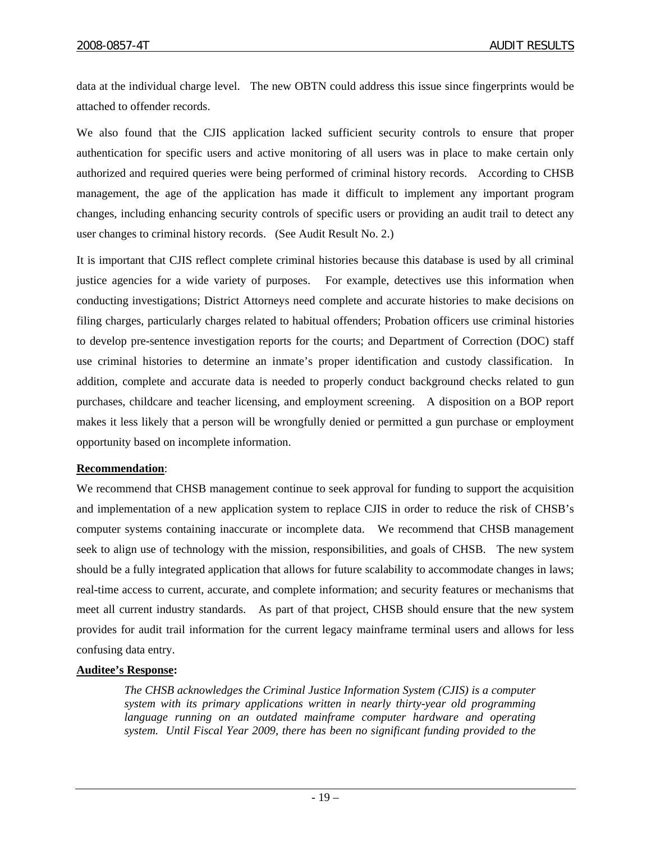data at the individual charge level. The new OBTN could address this issue since fingerprints would be attached to offender records.

We also found that the CJIS application lacked sufficient security controls to ensure that proper authentication for specific users and active monitoring of all users was in place to make certain only authorized and required queries were being performed of criminal history records. According to CHSB management, the age of the application has made it difficult to implement any important program changes, including enhancing security controls of specific users or providing an audit trail to detect any user changes to criminal history records. (See Audit Result No. 2.)

It is important that CJIS reflect complete criminal histories because this database is used by all criminal justice agencies for a wide variety of purposes. For example, detectives use this information when conducting investigations; District Attorneys need complete and accurate histories to make decisions on filing charges, particularly charges related to habitual offenders; Probation officers use criminal histories to develop pre-sentence investigation reports for the courts; and Department of Correction (DOC) staff use criminal histories to determine an inmate's proper identification and custody classification. In addition, complete and accurate data is needed to properly conduct background checks related to gun purchases, childcare and teacher licensing, and employment screening. A disposition on a BOP report makes it less likely that a person will be wrongfully denied or permitted a gun purchase or employment opportunity based on incomplete information.

# **Recommendation**:

We recommend that CHSB management continue to seek approval for funding to support the acquisition and implementation of a new application system to replace CJIS in order to reduce the risk of CHSB's computer systems containing inaccurate or incomplete data. We recommend that CHSB management seek to align use of technology with the mission, responsibilities, and goals of CHSB. The new system should be a fully integrated application that allows for future scalability to accommodate changes in laws; real-time access to current, accurate, and complete information; and security features or mechanisms that meet all current industry standards. As part of that project, CHSB should ensure that the new system provides for audit trail information for the current legacy mainframe terminal users and allows for less confusing data entry.

# **Auditee's Response:**

*The CHSB acknowledges the Criminal Justice Information System (CJIS) is a computer system with its primary applications written in nearly thirty-year old programming language running on an outdated mainframe computer hardware and operating system. Until Fiscal Year 2009, there has been no significant funding provided to the*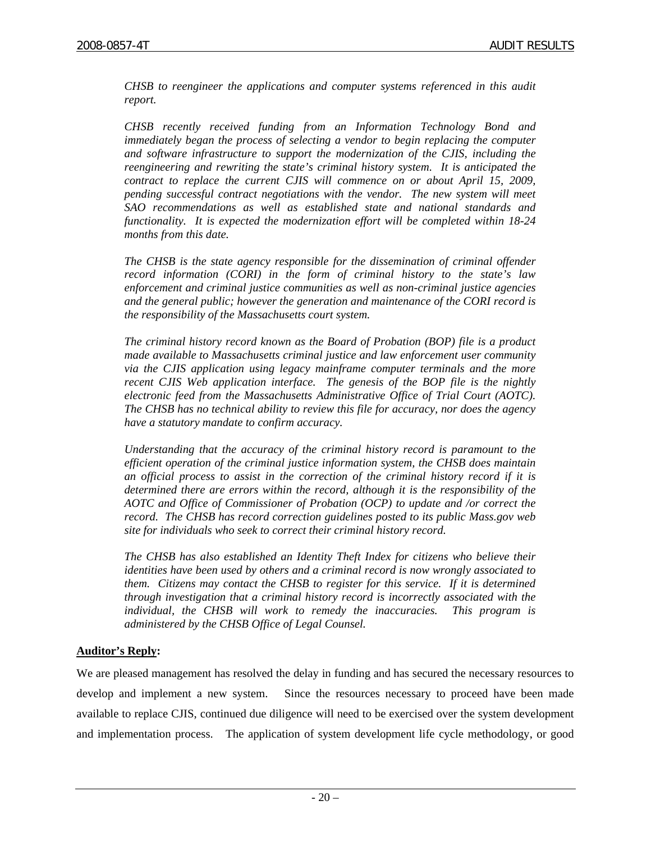*CHSB to reengineer the applications and computer systems referenced in this audit report.* 

*CHSB recently received funding from an Information Technology Bond and immediately began the process of selecting a vendor to begin replacing the computer and software infrastructure to support the modernization of the CJIS, including the reengineering and rewriting the state's criminal history system. It is anticipated the contract to replace the current CJIS will commence on or about April 15, 2009, pending successful contract negotiations with the vendor. The new system will meet SAO recommendations as well as established state and national standards and functionality. It is expected the modernization effort will be completed within 18-24 months from this date.*

*The CHSB is the state agency responsible for the dissemination of criminal offender record information (CORI) in the form of criminal history to the state's law enforcement and criminal justice communities as well as non-criminal justice agencies and the general public; however the generation and maintenance of the CORI record is the responsibility of the Massachusetts court system.* 

*The criminal history record known as the Board of Probation (BOP) file is a product made available to Massachusetts criminal justice and law enforcement user community via the CJIS application using legacy mainframe computer terminals and the more recent CJIS Web application interface. The genesis of the BOP file is the nightly electronic feed from the Massachusetts Administrative Office of Trial Court (AOTC). The CHSB has no technical ability to review this file for accuracy, nor does the agency have a statutory mandate to confirm accuracy.* 

*Understanding that the accuracy of the criminal history record is paramount to the efficient operation of the criminal justice information system, the CHSB does maintain an official process to assist in the correction of the criminal history record if it is determined there are errors within the record, although it is the responsibility of the AOTC and Office of Commissioner of Probation (OCP) to update and /or correct the record. The CHSB has record correction guidelines posted to its public Mass.gov web site for individuals who seek to correct their criminal history record.* 

*The CHSB has also established an Identity Theft Index for citizens who believe their identities have been used by others and a criminal record is now wrongly associated to them. Citizens may contact the CHSB to register for this service. If it is determined through investigation that a criminal history record is incorrectly associated with the individual, the CHSB will work to remedy the inaccuracies. This program is administered by the CHSB Office of Legal Counsel.* 

#### **Auditor's Reply:**

We are pleased management has resolved the delay in funding and has secured the necessary resources to develop and implement a new system. Since the resources necessary to proceed have been made available to replace CJIS, continued due diligence will need to be exercised over the system development and implementation process. The application of system development life cycle methodology, or good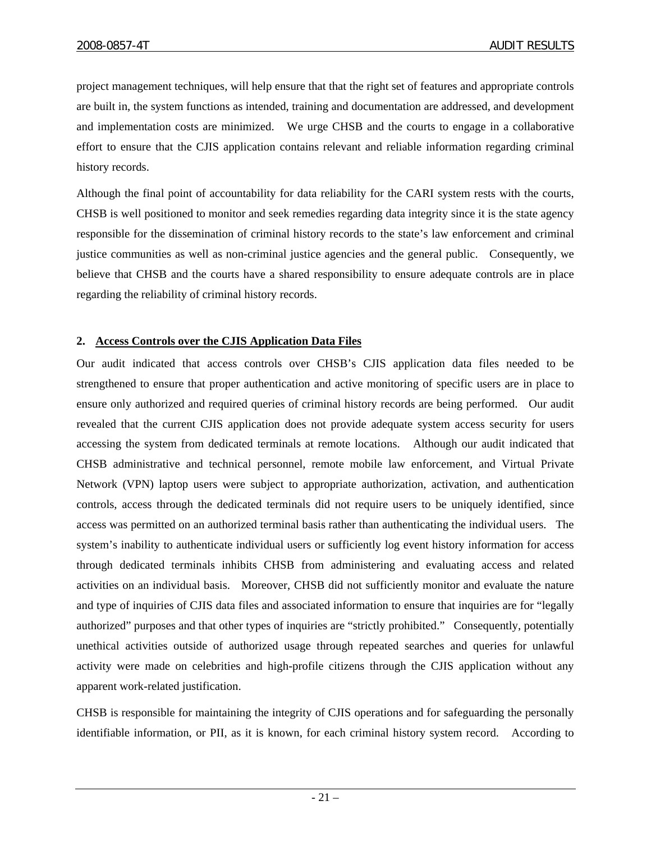project management techniques, will help ensure that that the right set of features and appropriate controls are built in, the system functions as intended, training and documentation are addressed, and development and implementation costs are minimized. We urge CHSB and the courts to engage in a collaborative effort to ensure that the CJIS application contains relevant and reliable information regarding criminal history records.

Although the final point of accountability for data reliability for the CARI system rests with the courts, CHSB is well positioned to monitor and seek remedies regarding data integrity since it is the state agency responsible for the dissemination of criminal history records to the state's law enforcement and criminal justice communities as well as non-criminal justice agencies and the general public. Consequently, we believe that CHSB and the courts have a shared responsibility to ensure adequate controls are in place regarding the reliability of criminal history records.

# **2. Access Controls over the CJIS Application Data Files**

Our audit indicated that access controls over CHSB's CJIS application data files needed to be strengthened to ensure that proper authentication and active monitoring of specific users are in place to ensure only authorized and required queries of criminal history records are being performed. Our audit revealed that the current CJIS application does not provide adequate system access security for users accessing the system from dedicated terminals at remote locations. Although our audit indicated that CHSB administrative and technical personnel, remote mobile law enforcement, and Virtual Private Network (VPN) laptop users were subject to appropriate authorization, activation, and authentication controls, access through the dedicated terminals did not require users to be uniquely identified, since access was permitted on an authorized terminal basis rather than authenticating the individual users. The system's inability to authenticate individual users or sufficiently log event history information for access through dedicated terminals inhibits CHSB from administering and evaluating access and related activities on an individual basis. Moreover, CHSB did not sufficiently monitor and evaluate the nature and type of inquiries of CJIS data files and associated information to ensure that inquiries are for "legally authorized" purposes and that other types of inquiries are "strictly prohibited." Consequently, potentially unethical activities outside of authorized usage through repeated searches and queries for unlawful activity were made on celebrities and high-profile citizens through the CJIS application without any apparent work-related justification.

CHSB is responsible for maintaining the integrity of CJIS operations and for safeguarding the personally identifiable information, or PII, as it is known, for each criminal history system record. According to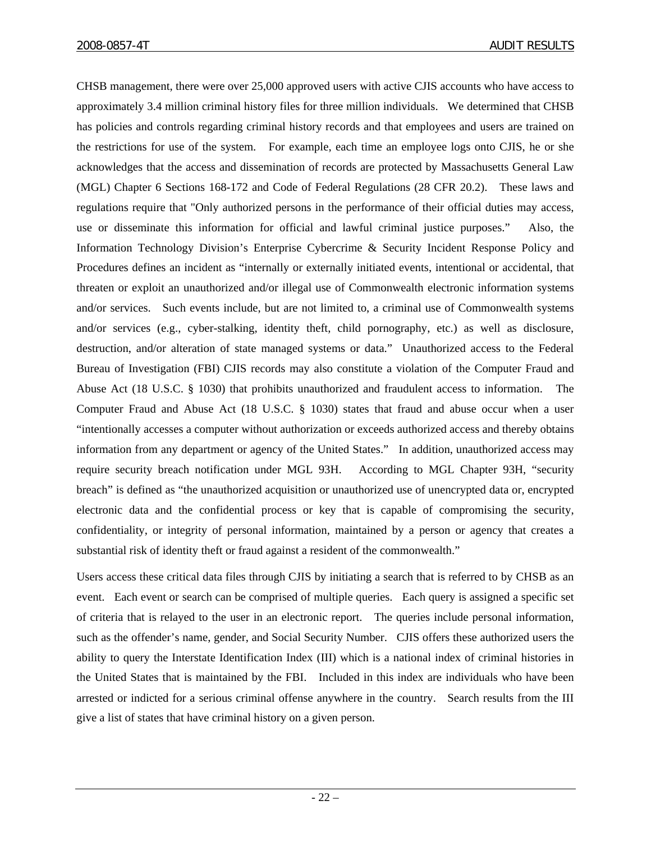CHSB management, there were over 25,000 approved users with active CJIS accounts who have access to approximately 3.4 million criminal history files for three million individuals. We determined that CHSB has policies and controls regarding criminal history records and that employees and users are trained on the restrictions for use of the system. For example, each time an employee logs onto CJIS, he or she acknowledges that the access and dissemination of records are protected by Massachusetts General Law (MGL) Chapter 6 Sections 168-172 and Code of Federal Regulations (28 CFR 20.2). These laws and regulations require that "Only authorized persons in the performance of their official duties may access, use or disseminate this information for official and lawful criminal justice purposes." Also, the Information Technology Division's Enterprise Cybercrime & Security Incident Response Policy and Procedures defines an incident as "internally or externally initiated events, intentional or accidental, that threaten or exploit an unauthorized and/or illegal use of Commonwealth electronic information systems and/or services. Such events include, but are not limited to, a criminal use of Commonwealth systems and/or services (e.g., cyber-stalking, identity theft, child pornography, etc.) as well as disclosure, destruction, and/or alteration of state managed systems or data." Unauthorized access to the Federal Bureau of Investigation (FBI) CJIS records may also constitute a violation of the Computer Fraud and Abuse Act (18 U.S.C. § 1030) that prohibits unauthorized and fraudulent access to information. The Computer Fraud and Abuse Act (18 U.S.C. § 1030) states that fraud and abuse occur when a user "intentionally accesses a computer without authorization or exceeds authorized access and thereby obtains information from any department or agency of the United States." In addition, unauthorized access may require security breach notification under MGL 93H. According to MGL Chapter 93H, "security breach" is defined as "the unauthorized acquisition or unauthorized use of unencrypted data or, encrypted electronic data and the confidential process or key that is capable of compromising the security, confidentiality, or integrity of personal information, maintained by a person or agency that creates a substantial risk of identity theft or fraud against a resident of the commonwealth."

Users access these critical data files through CJIS by initiating a search that is referred to by CHSB as an event. Each event or search can be comprised of multiple queries. Each query is assigned a specific set of criteria that is relayed to the user in an electronic report. The queries include personal information, such as the offender's name, gender, and Social Security Number. CJIS offers these authorized users the ability to query the Interstate Identification Index (III) which is a national index of criminal histories in the United States that is maintained by the FBI. Included in this index are individuals who have been arrested or indicted for a serious criminal offense anywhere in the country. Search results from the III give a list of states that have criminal history on a given person.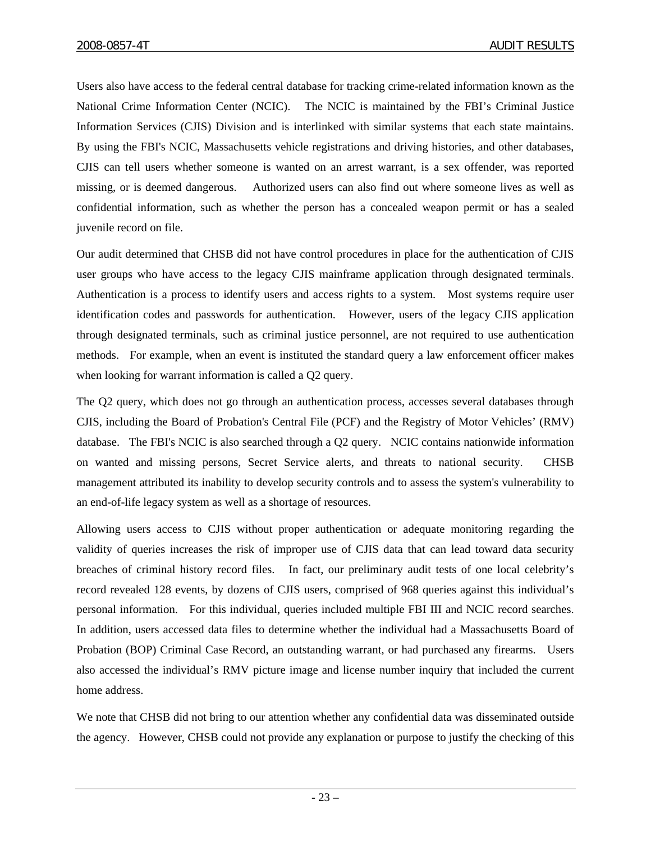Users also have access to the federal central database for tracking crime-related information known as the National Crime Information Center (NCIC). The NCIC is maintained by the FBI's Criminal Justice Information Services (CJIS) Division and is interlinked with similar systems that each state maintains. By using the FBI's NCIC, Massachusetts vehicle registrations and driving histories, and other databases, CJIS can tell users whether someone is wanted on an arrest warrant, is a sex offender, was reported missing, or is deemed dangerous. Authorized users can also find out where someone lives as well as confidential information, such as whether the person has a concealed weapon permit or has a sealed juvenile record on file.

Our audit determined that CHSB did not have control procedures in place for the authentication of CJIS user groups who have access to the legacy CJIS mainframe application through designated terminals. Authentication is a process to identify users and access rights to a system. Most systems require user identification codes and passwords for authentication. However, users of the legacy CJIS application through designated terminals, such as criminal justice personnel, are not required to use authentication methods. For example, when an event is instituted the standard query a law enforcement officer makes when looking for warrant information is called a  $Q2$  query.

The Q2 query, which does not go through an authentication process, accesses several databases through CJIS, including the Board of Probation's Central File (PCF) and the Registry of Motor Vehicles' (RMV) database. The FBI's NCIC is also searched through a Q2 query. NCIC contains nationwide information on wanted and missing persons, Secret Service alerts, and threats to national security. CHSB management attributed its inability to develop security controls and to assess the system's vulnerability to an end-of-life legacy system as well as a shortage of resources.

Allowing users access to CJIS without proper authentication or adequate monitoring regarding the validity of queries increases the risk of improper use of CJIS data that can lead toward data security breaches of criminal history record files. In fact, our preliminary audit tests of one local celebrity's record revealed 128 events, by dozens of CJIS users, comprised of 968 queries against this individual's personal information. For this individual, queries included multiple FBI III and NCIC record searches. In addition, users accessed data files to determine whether the individual had a Massachusetts Board of Probation (BOP) Criminal Case Record, an outstanding warrant, or had purchased any firearms. Users also accessed the individual's RMV picture image and license number inquiry that included the current home address.

We note that CHSB did not bring to our attention whether any confidential data was disseminated outside the agency. However, CHSB could not provide any explanation or purpose to justify the checking of this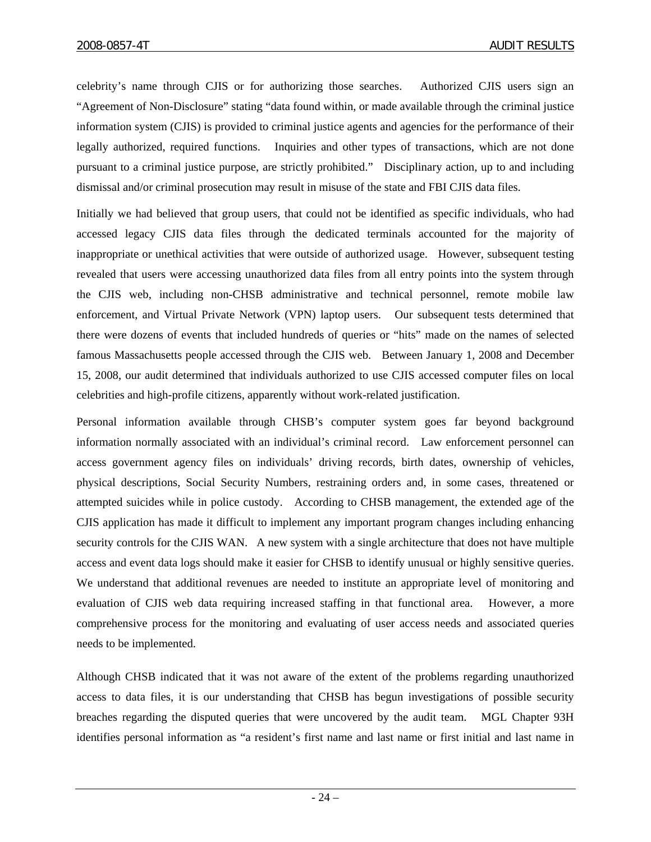celebrity's name through CJIS or for authorizing those searches. Authorized CJIS users sign an "Agreement of Non-Disclosure" stating "data found within, or made available through the criminal justice information system (CJIS) is provided to criminal justice agents and agencies for the performance of their legally authorized, required functions. Inquiries and other types of transactions, which are not done pursuant to a criminal justice purpose, are strictly prohibited." Disciplinary action, up to and including dismissal and/or criminal prosecution may result in misuse of the state and FBI CJIS data files.

Initially we had believed that group users, that could not be identified as specific individuals, who had accessed legacy CJIS data files through the dedicated terminals accounted for the majority of inappropriate or unethical activities that were outside of authorized usage. However, subsequent testing revealed that users were accessing unauthorized data files from all entry points into the system through the CJIS web, including non-CHSB administrative and technical personnel, remote mobile law enforcement, and Virtual Private Network (VPN) laptop users. Our subsequent tests determined that there were dozens of events that included hundreds of queries or "hits" made on the names of selected famous Massachusetts people accessed through the CJIS web. Between January 1, 2008 and December 15, 2008, our audit determined that individuals authorized to use CJIS accessed computer files on local celebrities and high-profile citizens, apparently without work-related justification.

Personal information available through CHSB's computer system goes far beyond background information normally associated with an individual's criminal record. Law enforcement personnel can access government agency files on individuals' driving records, birth dates, ownership of vehicles, physical descriptions, Social Security Numbers, restraining orders and, in some cases, threatened or attempted suicides while in police custody. According to CHSB management, the extended age of the CJIS application has made it difficult to implement any important program changes including enhancing security controls for the CJIS WAN. A new system with a single architecture that does not have multiple access and event data logs should make it easier for CHSB to identify unusual or highly sensitive queries. We understand that additional revenues are needed to institute an appropriate level of monitoring and evaluation of CJIS web data requiring increased staffing in that functional area. However, a more comprehensive process for the monitoring and evaluating of user access needs and associated queries needs to be implemented.

Although CHSB indicated that it was not aware of the extent of the problems regarding unauthorized access to data files, it is our understanding that CHSB has begun investigations of possible security breaches regarding the disputed queries that were uncovered by the audit team. MGL Chapter 93H identifies personal information as "a resident's first name and last name or first initial and last name in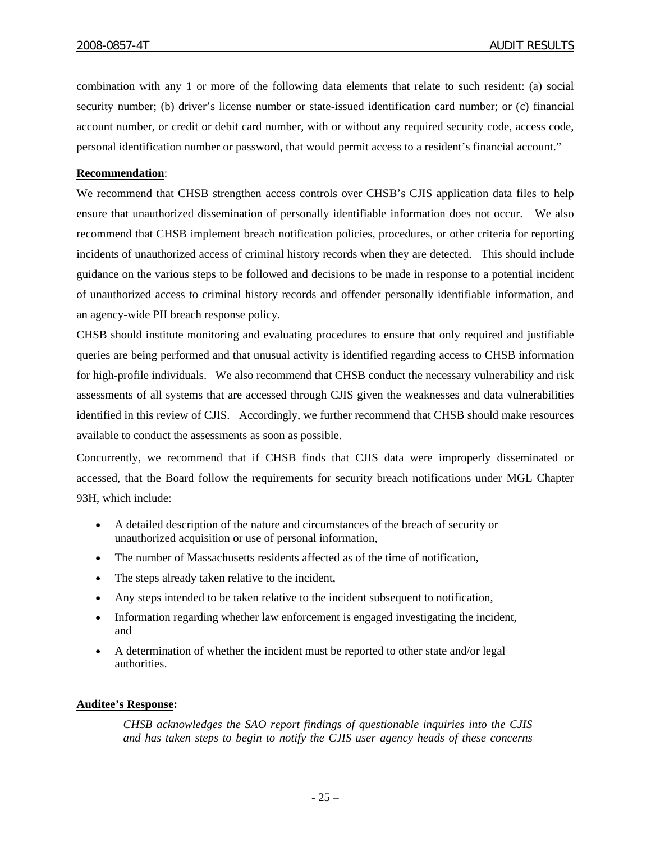combination with any 1 or more of the following data elements that relate to such resident: (a) social security number; (b) driver's license number or state-issued identification card number; or (c) financial account number, or credit or debit card number, with or without any required security code, access code, personal identification number or password, that would permit access to a resident's financial account."

#### **Recommendation**:

We recommend that CHSB strengthen access controls over CHSB's CJIS application data files to help ensure that unauthorized dissemination of personally identifiable information does not occur. We also recommend that CHSB implement breach notification policies, procedures, or other criteria for reporting incidents of unauthorized access of criminal history records when they are detected. This should include guidance on the various steps to be followed and decisions to be made in response to a potential incident of unauthorized access to criminal history records and offender personally identifiable information, and an agency-wide PII breach response policy.

CHSB should institute monitoring and evaluating procedures to ensure that only required and justifiable queries are being performed and that unusual activity is identified regarding access to CHSB information for high-profile individuals. We also recommend that CHSB conduct the necessary vulnerability and risk assessments of all systems that are accessed through CJIS given the weaknesses and data vulnerabilities identified in this review of CJIS. Accordingly, we further recommend that CHSB should make resources available to conduct the assessments as soon as possible.

Concurrently, we recommend that if CHSB finds that CJIS data were improperly disseminated or accessed, that the Board follow the requirements for security breach notifications under MGL Chapter 93H, which include:

- A detailed description of the nature and circumstances of the breach of security or unauthorized acquisition or use of personal information,
- The number of Massachusetts residents affected as of the time of notification,
- The steps already taken relative to the incident,
- Any steps intended to be taken relative to the incident subsequent to notification,
- Information regarding whether law enforcement is engaged investigating the incident, and
- A determination of whether the incident must be reported to other state and/or legal authorities.

#### **Auditee's Response:**

*CHSB acknowledges the SAO report findings of questionable inquiries into the CJIS and has taken steps to begin to notify the CJIS user agency heads of these concerns*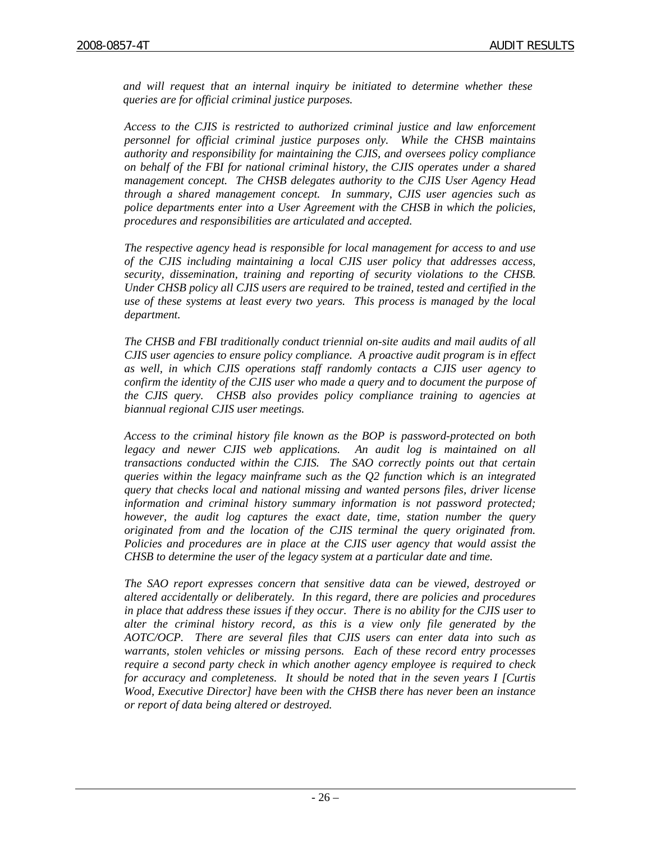*and will request that an internal inquiry be initiated to determine whether these queries are for official criminal justice purposes.* 

*Access to the CJIS is restricted to authorized criminal justice and law enforcement personnel for official criminal justice purposes only. While the CHSB maintains authority and responsibility for maintaining the CJIS, and oversees policy compliance on behalf of the FBI for national criminal history, the CJIS operates under a shared management concept. The CHSB delegates authority to the CJIS User Agency Head through a shared management concept. In summary, CJIS user agencies such as police departments enter into a User Agreement with the CHSB in which the policies, procedures and responsibilities are articulated and accepted.* 

*The respective agency head is responsible for local management for access to and use of the CJIS including maintaining a local CJIS user policy that addresses access, security, dissemination, training and reporting of security violations to the CHSB. Under CHSB policy all CJIS users are required to be trained, tested and certified in the use of these systems at least every two years. This process is managed by the local department.* 

*The CHSB and FBI traditionally conduct triennial on-site audits and mail audits of all CJIS user agencies to ensure policy compliance. A proactive audit program is in effect as well, in which CJIS operations staff randomly contacts a CJIS user agency to confirm the identity of the CJIS user who made a query and to document the purpose of the CJIS query. CHSB also provides policy compliance training to agencies at biannual regional CJIS user meetings.* 

*Access to the criminal history file known as the BOP is password-protected on both*  legacy and newer CJIS web applications. An audit log is maintained on all *transactions conducted within the CJIS. The SAO correctly points out that certain queries within the legacy mainframe such as the Q2 function which is an integrated query that checks local and national missing and wanted persons files, driver license information and criminal history summary information is not password protected; however, the audit log captures the exact date, time, station number the query originated from and the location of the CJIS terminal the query originated from. Policies and procedures are in place at the CJIS user agency that would assist the CHSB to determine the user of the legacy system at a particular date and time.* 

*The SAO report expresses concern that sensitive data can be viewed, destroyed or altered accidentally or deliberately. In this regard, there are policies and procedures in place that address these issues if they occur. There is no ability for the CJIS user to alter the criminal history record, as this is a view only file generated by the AOTC/OCP. There are several files that CJIS users can enter data into such as warrants, stolen vehicles or missing persons. Each of these record entry processes require a second party check in which another agency employee is required to check for accuracy and completeness. It should be noted that in the seven years I [Curtis Wood, Executive Director] have been with the CHSB there has never been an instance or report of data being altered or destroyed.*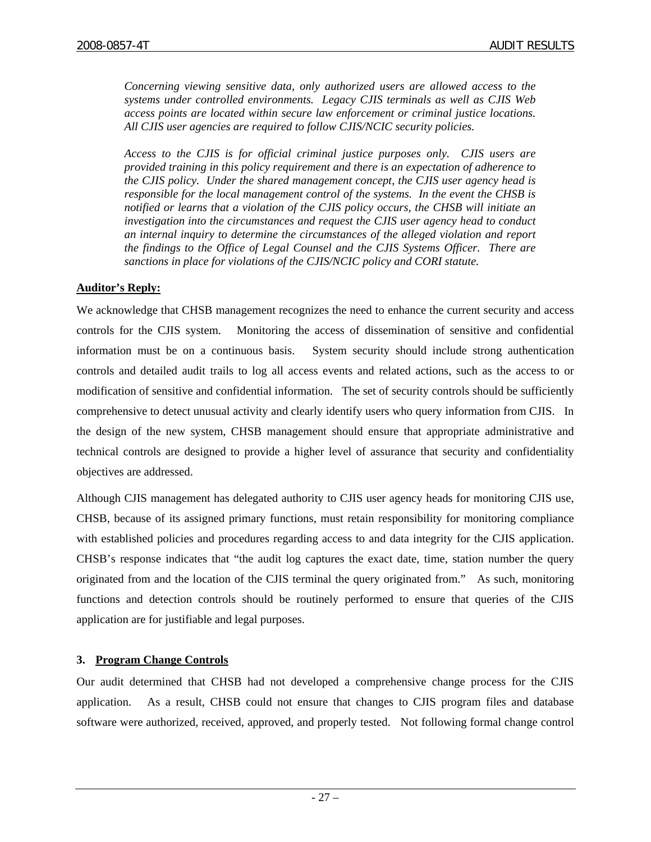*Concerning viewing sensitive data, only authorized users are allowed access to the systems under controlled environments. Legacy CJIS terminals as well as CJIS Web access points are located within secure law enforcement or criminal justice locations. All CJIS user agencies are required to follow CJIS/NCIC security policies.* 

*Access to the CJIS is for official criminal justice purposes only. CJIS users are provided training in this policy requirement and there is an expectation of adherence to the CJIS policy. Under the shared management concept, the CJIS user agency head is responsible for the local management control of the systems. In the event the CHSB is notified or learns that a violation of the CJIS policy occurs, the CHSB will initiate an investigation into the circumstances and request the CJIS user agency head to conduct an internal inquiry to determine the circumstances of the alleged violation and report the findings to the Office of Legal Counsel and the CJIS Systems Officer. There are sanctions in place for violations of the CJIS/NCIC policy and CORI statute.* 

## **Auditor's Reply:**

We acknowledge that CHSB management recognizes the need to enhance the current security and access controls for the CJIS system. Monitoring the access of dissemination of sensitive and confidential information must be on a continuous basis. System security should include strong authentication controls and detailed audit trails to log all access events and related actions, such as the access to or modification of sensitive and confidential information. The set of security controls should be sufficiently comprehensive to detect unusual activity and clearly identify users who query information from CJIS. In the design of the new system, CHSB management should ensure that appropriate administrative and technical controls are designed to provide a higher level of assurance that security and confidentiality objectives are addressed.

Although CJIS management has delegated authority to CJIS user agency heads for monitoring CJIS use, CHSB, because of its assigned primary functions, must retain responsibility for monitoring compliance with established policies and procedures regarding access to and data integrity for the CJIS application. CHSB's response indicates that "the audit log captures the exact date, time, station number the query originated from and the location of the CJIS terminal the query originated from." As such, monitoring functions and detection controls should be routinely performed to ensure that queries of the CJIS application are for justifiable and legal purposes.

# **3. Program Change Controls**

Our audit determined that CHSB had not developed a comprehensive change process for the CJIS application. As a result, CHSB could not ensure that changes to CJIS program files and database software were authorized, received, approved, and properly tested. Not following formal change control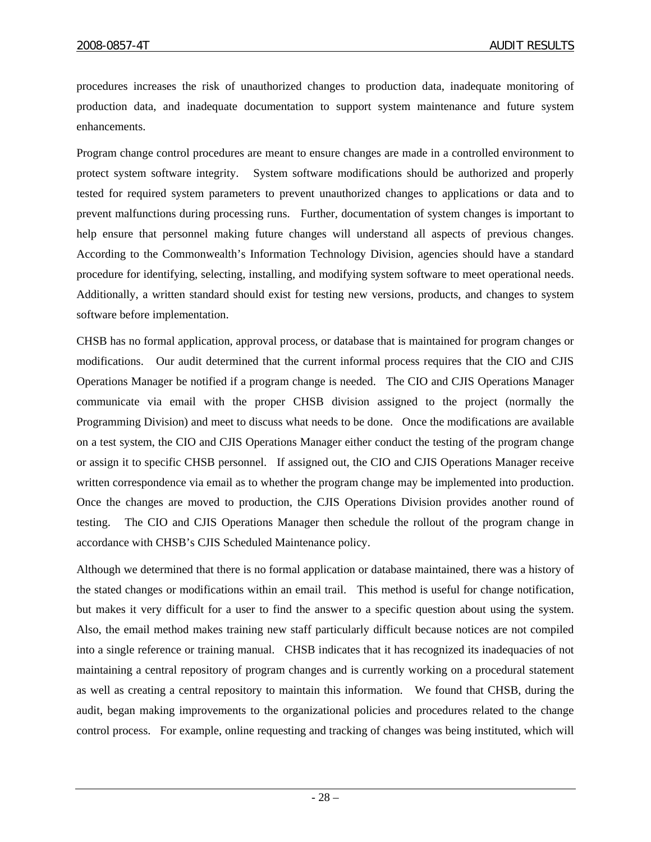procedures increases the risk of unauthorized changes to production data, inadequate monitoring of production data, and inadequate documentation to support system maintenance and future system enhancements.

Program change control procedures are meant to ensure changes are made in a controlled environment to protect system software integrity. System software modifications should be authorized and properly tested for required system parameters to prevent unauthorized changes to applications or data and to prevent malfunctions during processing runs. Further, documentation of system changes is important to help ensure that personnel making future changes will understand all aspects of previous changes. According to the Commonwealth's Information Technology Division, agencies should have a standard procedure for identifying, selecting, installing, and modifying system software to meet operational needs. Additionally, a written standard should exist for testing new versions, products, and changes to system software before implementation.

CHSB has no formal application, approval process, or database that is maintained for program changes or modifications. Our audit determined that the current informal process requires that the CIO and CJIS Operations Manager be notified if a program change is needed. The CIO and CJIS Operations Manager communicate via email with the proper CHSB division assigned to the project (normally the Programming Division) and meet to discuss what needs to be done. Once the modifications are available on a test system, the CIO and CJIS Operations Manager either conduct the testing of the program change or assign it to specific CHSB personnel. If assigned out, the CIO and CJIS Operations Manager receive written correspondence via email as to whether the program change may be implemented into production. Once the changes are moved to production, the CJIS Operations Division provides another round of testing. The CIO and CJIS Operations Manager then schedule the rollout of the program change in accordance with CHSB's CJIS Scheduled Maintenance policy.

Although we determined that there is no formal application or database maintained, there was a history of the stated changes or modifications within an email trail. This method is useful for change notification, but makes it very difficult for a user to find the answer to a specific question about using the system. Also, the email method makes training new staff particularly difficult because notices are not compiled into a single reference or training manual. CHSB indicates that it has recognized its inadequacies of not maintaining a central repository of program changes and is currently working on a procedural statement as well as creating a central repository to maintain this information. We found that CHSB, during the audit, began making improvements to the organizational policies and procedures related to the change control process. For example, online requesting and tracking of changes was being instituted, which will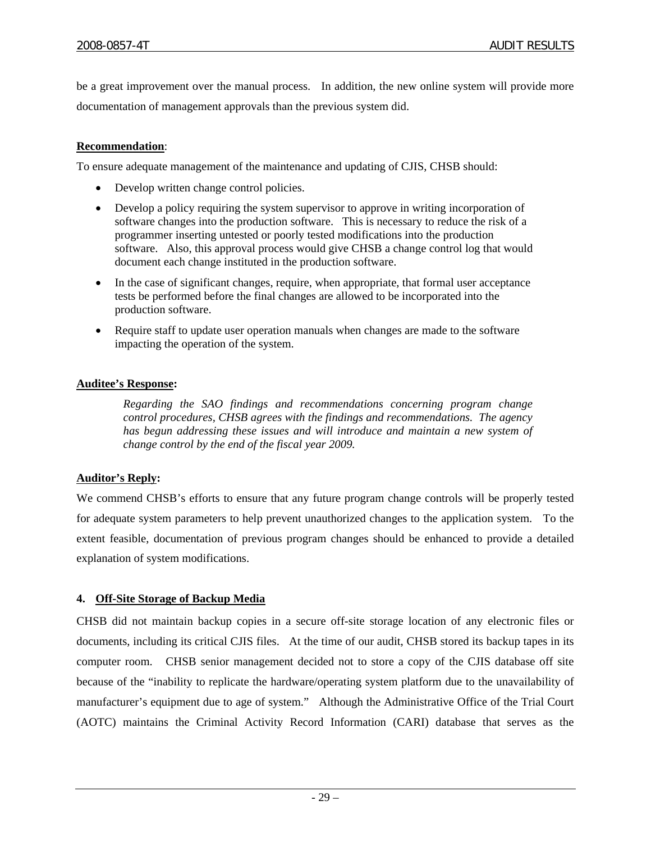be a great improvement over the manual process. In addition, the new online system will provide more documentation of management approvals than the previous system did.

# **Recommendation**:

To ensure adequate management of the maintenance and updating of CJIS, CHSB should:

- Develop written change control policies.
- Develop a policy requiring the system supervisor to approve in writing incorporation of software changes into the production software. This is necessary to reduce the risk of a programmer inserting untested or poorly tested modifications into the production software. Also, this approval process would give CHSB a change control log that would document each change instituted in the production software.
- In the case of significant changes, require, when appropriate, that formal user acceptance tests be performed before the final changes are allowed to be incorporated into the production software.
- Require staff to update user operation manuals when changes are made to the software impacting the operation of the system.

# **Auditee's Response:**

*Regarding the SAO findings and recommendations concerning program change control procedures, CHSB agrees with the findings and recommendations. The agency has begun addressing these issues and will introduce and maintain a new system of change control by the end of the fiscal year 2009.* 

# **Auditor's Reply:**

We commend CHSB's efforts to ensure that any future program change controls will be properly tested for adequate system parameters to help prevent unauthorized changes to the application system. To the extent feasible, documentation of previous program changes should be enhanced to provide a detailed explanation of system modifications.

# **4. Off-Site Storage of Backup Media**

CHSB did not maintain backup copies in a secure off-site storage location of any electronic files or documents, including its critical CJIS files. At the time of our audit, CHSB stored its backup tapes in its computer room. CHSB senior management decided not to store a copy of the CJIS database off site because of the "inability to replicate the hardware/operating system platform due to the unavailability of manufacturer's equipment due to age of system." Although the Administrative Office of the Trial Court (AOTC) maintains the Criminal Activity Record Information (CARI) database that serves as the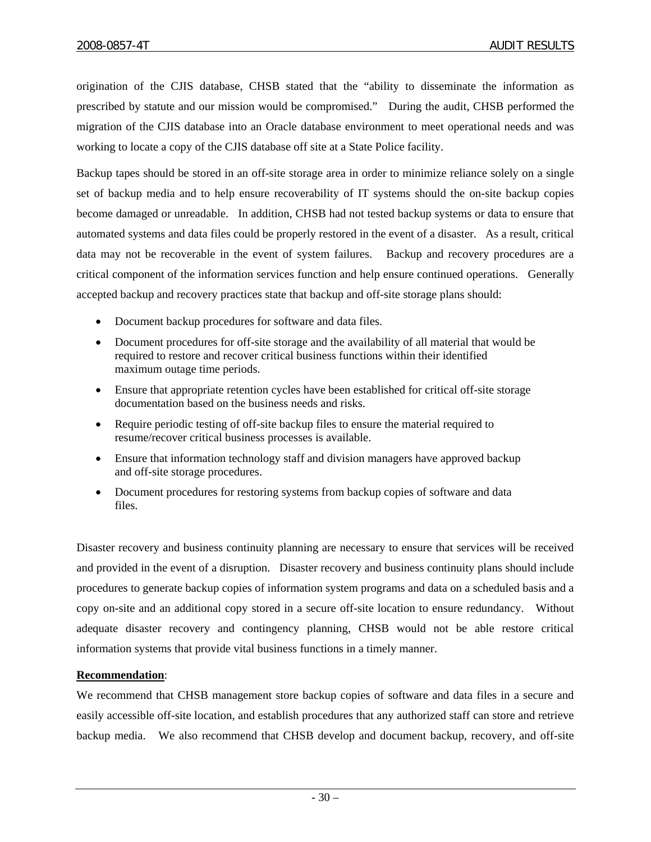origination of the CJIS database, CHSB stated that the "ability to disseminate the information as prescribed by statute and our mission would be compromised." During the audit, CHSB performed the migration of the CJIS database into an Oracle database environment to meet operational needs and was working to locate a copy of the CJIS database off site at a State Police facility.

Backup tapes should be stored in an off-site storage area in order to minimize reliance solely on a single set of backup media and to help ensure recoverability of IT systems should the on-site backup copies become damaged or unreadable. In addition, CHSB had not tested backup systems or data to ensure that automated systems and data files could be properly restored in the event of a disaster. As a result, critical data may not be recoverable in the event of system failures. Backup and recovery procedures are a critical component of the information services function and help ensure continued operations. Generally accepted backup and recovery practices state that backup and off-site storage plans should:

- Document backup procedures for software and data files.
- Document procedures for off-site storage and the availability of all material that would be required to restore and recover critical business functions within their identified maximum outage time periods.
- Ensure that appropriate retention cycles have been established for critical off-site storage documentation based on the business needs and risks.
- Require periodic testing of off-site backup files to ensure the material required to resume/recover critical business processes is available.
- Ensure that information technology staff and division managers have approved backup and off-site storage procedures.
- Document procedures for restoring systems from backup copies of software and data files.

Disaster recovery and business continuity planning are necessary to ensure that services will be received and provided in the event of a disruption. Disaster recovery and business continuity plans should include procedures to generate backup copies of information system programs and data on a scheduled basis and a copy on-site and an additional copy stored in a secure off-site location to ensure redundancy. Without adequate disaster recovery and contingency planning, CHSB would not be able restore critical information systems that provide vital business functions in a timely manner.

# **Recommendation**:

We recommend that CHSB management store backup copies of software and data files in a secure and easily accessible off-site location, and establish procedures that any authorized staff can store and retrieve backup media. We also recommend that CHSB develop and document backup, recovery, and off-site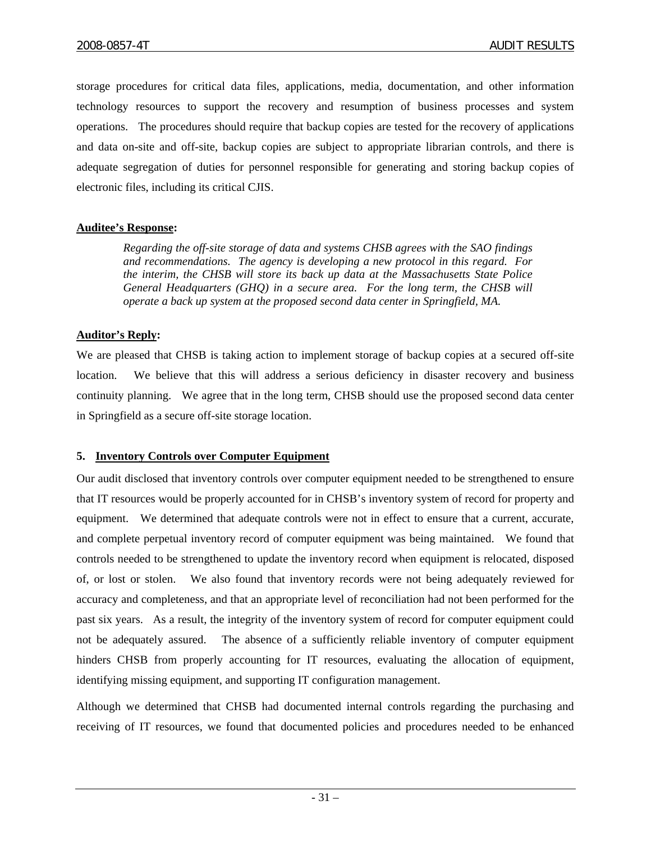storage procedures for critical data files, applications, media, documentation, and other information technology resources to support the recovery and resumption of business processes and system operations. The procedures should require that backup copies are tested for the recovery of applications and data on-site and off-site, backup copies are subject to appropriate librarian controls, and there is adequate segregation of duties for personnel responsible for generating and storing backup copies of electronic files, including its critical CJIS.

## **Auditee's Response:**

*Regarding the off-site storage of data and systems CHSB agrees with the SAO findings and recommendations. The agency is developing a new protocol in this regard. For the interim, the CHSB will store its back up data at the Massachusetts State Police General Headquarters (GHQ) in a secure area. For the long term, the CHSB will operate a back up system at the proposed second data center in Springfield, MA.* 

## **Auditor's Reply:**

We are pleased that CHSB is taking action to implement storage of backup copies at a secured off-site location. We believe that this will address a serious deficiency in disaster recovery and business continuity planning. We agree that in the long term, CHSB should use the proposed second data center in Springfield as a secure off-site storage location.

#### **5. Inventory Controls over Computer Equipment**

Our audit disclosed that inventory controls over computer equipment needed to be strengthened to ensure that IT resources would be properly accounted for in CHSB's inventory system of record for property and equipment. We determined that adequate controls were not in effect to ensure that a current, accurate, and complete perpetual inventory record of computer equipment was being maintained. We found that controls needed to be strengthened to update the inventory record when equipment is relocated, disposed of, or lost or stolen. We also found that inventory records were not being adequately reviewed for accuracy and completeness, and that an appropriate level of reconciliation had not been performed for the past six years. As a result, the integrity of the inventory system of record for computer equipment could not be adequately assured. The absence of a sufficiently reliable inventory of computer equipment hinders CHSB from properly accounting for IT resources, evaluating the allocation of equipment, identifying missing equipment, and supporting IT configuration management.

Although we determined that CHSB had documented internal controls regarding the purchasing and receiving of IT resources, we found that documented policies and procedures needed to be enhanced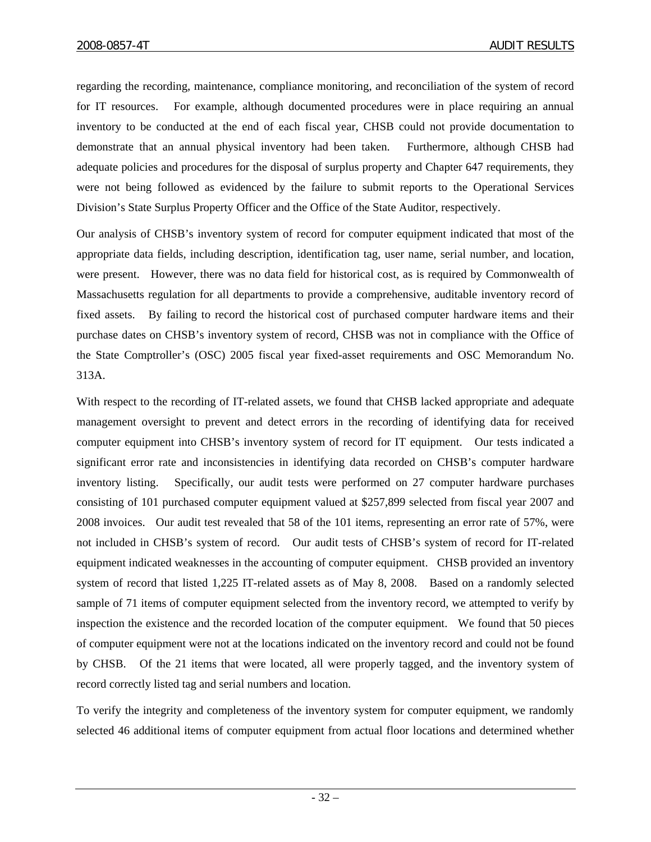regarding the recording, maintenance, compliance monitoring, and reconciliation of the system of record for IT resources. For example, although documented procedures were in place requiring an annual inventory to be conducted at the end of each fiscal year, CHSB could not provide documentation to demonstrate that an annual physical inventory had been taken. Furthermore, although CHSB had adequate policies and procedures for the disposal of surplus property and Chapter 647 requirements, they were not being followed as evidenced by the failure to submit reports to the Operational Services Division's State Surplus Property Officer and the Office of the State Auditor, respectively.

Our analysis of CHSB's inventory system of record for computer equipment indicated that most of the appropriate data fields, including description, identification tag, user name, serial number, and location, were present. However, there was no data field for historical cost, as is required by Commonwealth of Massachusetts regulation for all departments to provide a comprehensive, auditable inventory record of fixed assets. By failing to record the historical cost of purchased computer hardware items and their purchase dates on CHSB's inventory system of record, CHSB was not in compliance with the Office of the State Comptroller's (OSC) 2005 fiscal year fixed-asset requirements and OSC Memorandum No. 313A.

With respect to the recording of IT-related assets, we found that CHSB lacked appropriate and adequate management oversight to prevent and detect errors in the recording of identifying data for received computer equipment into CHSB's inventory system of record for IT equipment. Our tests indicated a significant error rate and inconsistencies in identifying data recorded on CHSB's computer hardware inventory listing. Specifically, our audit tests were performed on 27 computer hardware purchases consisting of 101 purchased computer equipment valued at \$257,899 selected from fiscal year 2007 and 2008 invoices. Our audit test revealed that 58 of the 101 items, representing an error rate of 57%, were not included in CHSB's system of record. Our audit tests of CHSB's system of record for IT-related equipment indicated weaknesses in the accounting of computer equipment. CHSB provided an inventory system of record that listed 1,225 IT-related assets as of May 8, 2008. Based on a randomly selected sample of 71 items of computer equipment selected from the inventory record, we attempted to verify by inspection the existence and the recorded location of the computer equipment. We found that 50 pieces of computer equipment were not at the locations indicated on the inventory record and could not be found by CHSB. Of the 21 items that were located, all were properly tagged, and the inventory system of record correctly listed tag and serial numbers and location.

To verify the integrity and completeness of the inventory system for computer equipment, we randomly selected 46 additional items of computer equipment from actual floor locations and determined whether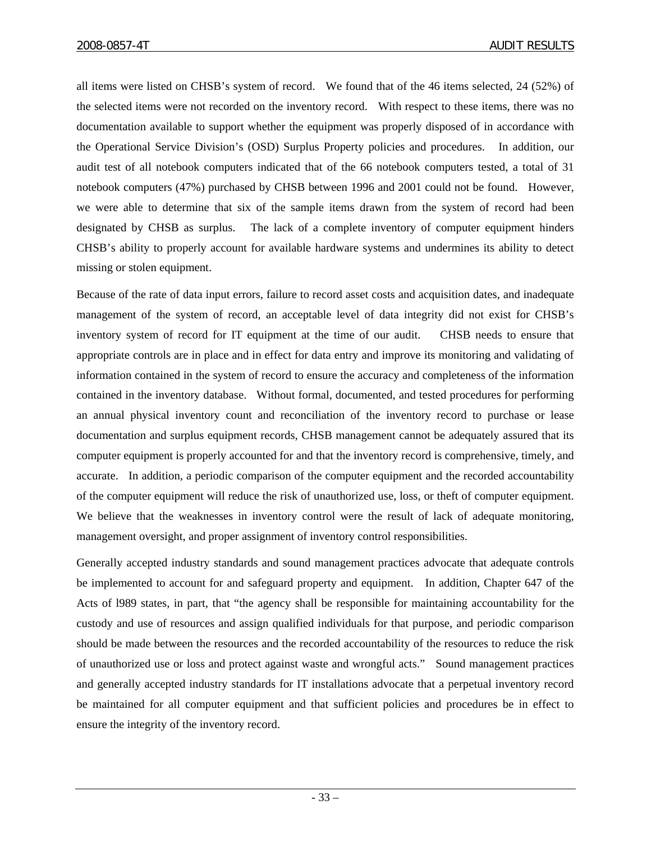all items were listed on CHSB's system of record. We found that of the 46 items selected, 24 (52%) of the selected items were not recorded on the inventory record. With respect to these items, there was no documentation available to support whether the equipment was properly disposed of in accordance with the Operational Service Division's (OSD) Surplus Property policies and procedures. In addition, our audit test of all notebook computers indicated that of the 66 notebook computers tested, a total of 31 notebook computers (47%) purchased by CHSB between 1996 and 2001 could not be found. However, we were able to determine that six of the sample items drawn from the system of record had been designated by CHSB as surplus. The lack of a complete inventory of computer equipment hinders CHSB's ability to properly account for available hardware systems and undermines its ability to detect missing or stolen equipment.

Because of the rate of data input errors, failure to record asset costs and acquisition dates, and inadequate management of the system of record, an acceptable level of data integrity did not exist for CHSB's inventory system of record for IT equipment at the time of our audit. CHSB needs to ensure that appropriate controls are in place and in effect for data entry and improve its monitoring and validating of information contained in the system of record to ensure the accuracy and completeness of the information contained in the inventory database. Without formal, documented, and tested procedures for performing an annual physical inventory count and reconciliation of the inventory record to purchase or lease documentation and surplus equipment records, CHSB management cannot be adequately assured that its computer equipment is properly accounted for and that the inventory record is comprehensive, timely, and accurate. In addition, a periodic comparison of the computer equipment and the recorded accountability of the computer equipment will reduce the risk of unauthorized use, loss, or theft of computer equipment. We believe that the weaknesses in inventory control were the result of lack of adequate monitoring, management oversight, and proper assignment of inventory control responsibilities.

Generally accepted industry standards and sound management practices advocate that adequate controls be implemented to account for and safeguard property and equipment. In addition, Chapter 647 of the Acts of l989 states, in part, that "the agency shall be responsible for maintaining accountability for the custody and use of resources and assign qualified individuals for that purpose, and periodic comparison should be made between the resources and the recorded accountability of the resources to reduce the risk of unauthorized use or loss and protect against waste and wrongful acts." Sound management practices and generally accepted industry standards for IT installations advocate that a perpetual inventory record be maintained for all computer equipment and that sufficient policies and procedures be in effect to ensure the integrity of the inventory record.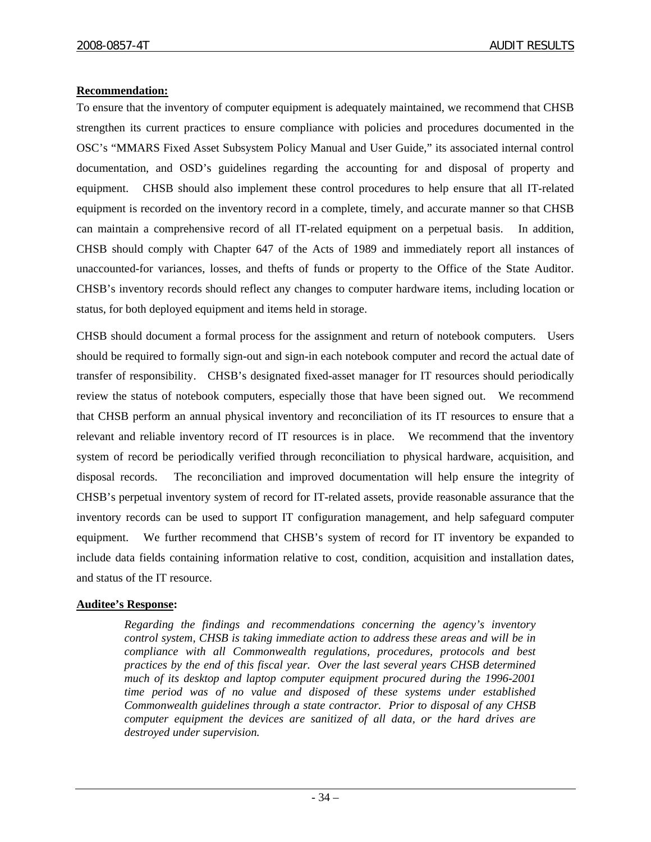# **Recommendation:**

To ensure that the inventory of computer equipment is adequately maintained, we recommend that CHSB strengthen its current practices to ensure compliance with policies and procedures documented in the OSC's "MMARS Fixed Asset Subsystem Policy Manual and User Guide," its associated internal control documentation, and OSD's guidelines regarding the accounting for and disposal of property and equipment. CHSB should also implement these control procedures to help ensure that all IT-related equipment is recorded on the inventory record in a complete, timely, and accurate manner so that CHSB can maintain a comprehensive record of all IT-related equipment on a perpetual basis. In addition, CHSB should comply with Chapter 647 of the Acts of 1989 and immediately report all instances of unaccounted-for variances, losses, and thefts of funds or property to the Office of the State Auditor. CHSB's inventory records should reflect any changes to computer hardware items, including location or status, for both deployed equipment and items held in storage.

CHSB should document a formal process for the assignment and return of notebook computers. Users should be required to formally sign-out and sign-in each notebook computer and record the actual date of transfer of responsibility. CHSB's designated fixed-asset manager for IT resources should periodically review the status of notebook computers, especially those that have been signed out. We recommend that CHSB perform an annual physical inventory and reconciliation of its IT resources to ensure that a relevant and reliable inventory record of IT resources is in place. We recommend that the inventory system of record be periodically verified through reconciliation to physical hardware, acquisition, and disposal records. The reconciliation and improved documentation will help ensure the integrity of CHSB's perpetual inventory system of record for IT-related assets, provide reasonable assurance that the inventory records can be used to support IT configuration management, and help safeguard computer equipment. We further recommend that CHSB's system of record for IT inventory be expanded to include data fields containing information relative to cost, condition, acquisition and installation dates, and status of the IT resource.

#### **Auditee's Response:**

*Regarding the findings and recommendations concerning the agency's inventory control system, CHSB is taking immediate action to address these areas and will be in compliance with all Commonwealth regulations, procedures, protocols and best practices by the end of this fiscal year. Over the last several years CHSB determined much of its desktop and laptop computer equipment procured during the 1996-2001 time period was of no value and disposed of these systems under established Commonwealth guidelines through a state contractor. Prior to disposal of any CHSB computer equipment the devices are sanitized of all data, or the hard drives are destroyed under supervision.*